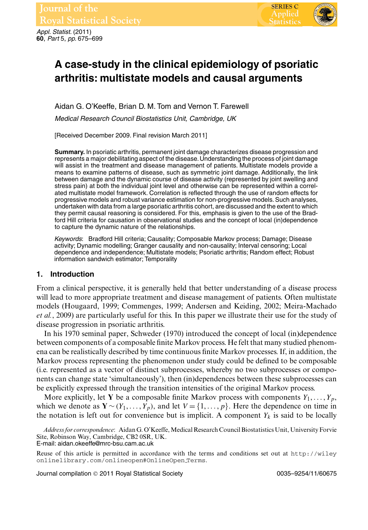*Appl. Statist.* (2011) **60**, *Part* 5, *pp.* 675–699



# **A case-study in the clinical epidemiology of psoriatic arthritis: multistate models and causal arguments**

Aidan G. O'Keeffe, Brian D. M. Tom and Vernon T. Farewell *Medical Research Council Biostatistics Unit, Cambridge, UK*

[Received December 2009. Final revision March 2011]

**Summary.** In psoriatic arthritis, permanent joint damage characterizes disease progression and represents a major debilitating aspect of the disease.Understanding the process of joint damage will assist in the treatment and disease management of patients. Multistate models provide a means to examine patterns of disease, such as symmetric joint damage. Additionally, the link between damage and the dynamic course of disease activity (represented by joint swelling and stress pain) at both the individual joint level and otherwise can be represented within a correlated multistate model framework. Correlation is reflected through the use of random effects for progressive models and robust variance estimation for non-progressive models. Such analyses, undertaken with data from a large psoriatic arthritis cohort, are discussed and the extent to which they permit causal reasoning is considered. For this, emphasis is given to the use of the Bradford Hill criteria for causation in observational studies and the concept of local (in)dependence to capture the dynamic nature of the relationships.

*Keywords*: Bradford Hill criteria; Causality; Composable Markov process; Damage; Disease activity; Dynamic modelling; Granger causality and non-causality; Interval censoring; Local dependence and independence; Multistate models; Psoriatic arthritis; Random effect; Robust information sandwich estimator; Temporality

## **1. Introduction**

From a clinical perspective, it is generally held that better understanding of a disease process will lead to more appropriate treatment and disease management of patients. Often multistate models (Hougaard, 1999; Commenges, 1999; Andersen and Keiding, 2002; Meira-Machado *et al.*, 2009) are particularly useful for this. In this paper we illustrate their use for the study of disease progression in psoriatic arthritis.

In his 1970 seminal paper, Schweder (1970) introduced the concept of local (in)dependence between components of a composable finite Markov process. He felt that many studied phenomena can be realistically described by time continuous finite Markov processes. If, in addition, the Markov process representing the phenomenon under study could be defined to be composable (i.e. represented as a vector of distinct subprocesses, whereby no two subprocesses or components can change state 'simultaneously'), then (in)dependences between these subprocesses can be explicitly expressed through the transition intensities of the original Markov process.

More explicitly, let **Y** be a composable finite Markov process with components  $Y_1, \ldots, Y_p$ , which we denote as  $\mathbf{Y} \sim (Y_1, \ldots, Y_p)$ , and let  $V = \{1, \ldots, p\}$ . Here the dependence on time in the notation is left out for convenience but is implicit. A component  $Y_k$  is said to be locally

Address for correspondence: Aidan G. O'Keeffe, Medical Research Council Biostatistics Unit, University Forvie Site, Robinson Way, Cambridge, CB2 0SR, UK. E-mail: aidan.okeeffe@mrc-bsu.cam.ac.uk

Reuse of this article is permitted in accordance with the terms and conditions set out at http://wiley onlinelibrary.com/onlineopen#OnlineOpen Terms.

Journal compilation © 2011 Royal Statistical Society **0035–9254/11/60675**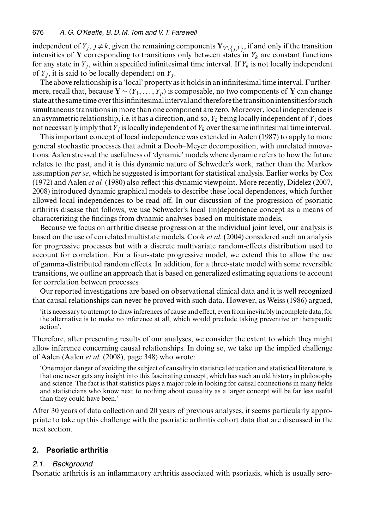independent of  $Y_j$ ,  $j \neq k$ , given the remaining components  $Y_{V\setminus\{j,k\}}$ , if and only if the transition intensities of **Y** corresponding to transitions only between states in  $Y_k$  are constant functions for any state in  $Y_i$ , within a specified infinitesimal time interval. If  $Y_k$  is not locally independent of  $Y_i$ , it is said to be locally dependent on  $Y_i$ .

The above relationship is a 'local' property as it holds in an infinitesimal time interval. Furthermore, recall that, because  $\mathbf{Y} \sim (Y_1, \ldots, Y_p)$  is composable, no two components of **Y** can change state at the same timeover thisinfinitesimalinterval and therefore the transitionintensities for such simultaneous transitions in more than one component are zero. Moreover, local independence is an asymmetric relationship, i.e. it has a direction, and so,  $Y_k$  being locally independent of  $Y_i$  does not necessarily imply that  $Y_i$  is locally independent of  $Y_k$  over the same infinitesimal time interval.

This important concept of local independence was extended in Aalen (1987) to apply to more general stochastic processes that admit a Doob–Meyer decomposition, with unrelated innovations. Aalen stressed the usefulness of 'dynamic' models where dynamic refers to how the future relates to the past, and it is this dynamic nature of Schweder's work, rather than the Markov assumption *per se*, which he suggested is important for statistical analysis. Earlier works by Cox (1972) and Aalen *et al.* (1980) also reflect this dynamic viewpoint. More recently, Didelez (2007, 2008) introduced dynamic graphical models to describe these local dependences, which further allowed local independences to be read off. In our discussion of the progression of psoriatic arthritis disease that follows, we use Schweder's local (in)dependence concept as a means of characterizing the findings from dynamic analyses based on multistate models.

Because we focus on arthritic disease progression at the individual joint level, our analysis is based on the use of correlated multistate models. Cook *et al.* (2004) considered such an analysis for progressive processes but with a discrete multivariate random-effects distribution used to account for correlation. For a four-state progressive model, we extend this to allow the use of gamma-distributed random effects. In addition, for a three-state model with some reversible transitions, we outline an approach that is based on generalized estimating equations to account for correlation between processes.

Our reported investigations are based on observational clinical data and it is well recognized that causal relationships can never be proved with such data. However, as Weiss (1986) argued,

'it is necessary to attempt to draw inferences of cause and effect, even from inevitably incomplete data, for the alternative is to make no inference at all, which would preclude taking preventive or therapeutic action'.

Therefore, after presenting results of our analyses, we consider the extent to which they might allow inference concerning causal relationships. In doing so, we take up the implied challenge of Aalen (Aalen *et al.* (2008), page 348) who wrote:

'One major danger of avoiding the subject of causality in statistical education and statistical literature, is that one never gets any insight into this fascinating concept, which has such an old history in philosophy and science. The fact is that statistics plays a major role in looking for causal connections in many fields and statisticians who know next to nothing about causality as a larger concept will be far less useful than they could have been.'

After 30 years of data collection and 20 years of previous analyses, it seems particularly appropriate to take up this challenge with the psoriatic arthritis cohort data that are discussed in the next section.

# **2. Psoriatic arthritis**

# *2.1. Background*

Psoriatic arthritis is an inflammatory arthritis associated with psoriasis, which is usually sero-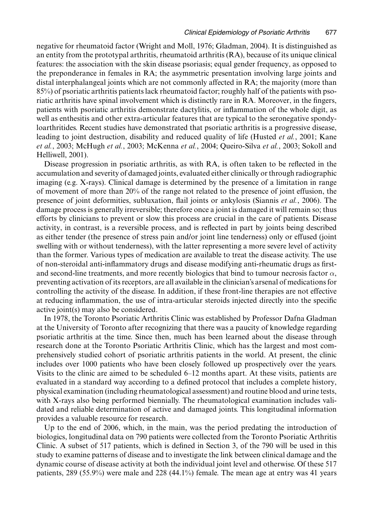negative for rheumatoid factor (Wright and Moll, 1976; Gladman, 2004). It is distinguished as an entity from the prototypal arthritis, rheumatoid arthritis (RA), because of its unique clinical features: the association with the skin disease psoriasis; equal gender frequency, as opposed to the preponderance in females in RA; the asymmetric presentation involving large joints and distal interphalangeal joints which are not commonly affected in RA; the majority (more than 85%) of psoriatic arthritis patients lack rheumatoid factor; roughly half of the patients with psoriatic arthritis have spinal involvement which is distinctly rare in RA. Moreover, in the fingers, patients with psoriatic arthritis demonstrate dactylitis, or inflammation of the whole digit, as well as enthesitis and other extra-articular features that are typical to the seronegative spondyloarthritides. Recent studies have demonstrated that psoriatic arthritis is a progressive disease, leading to joint destruction, disability and reduced quality of life (Husted *et al.*, 2001; Kane *et al.*, 2003; McHugh *et al.*, 2003; McKenna *et al.*, 2004; Queiro-Silva *et al.*, 2003; Sokoll and Helliwell, 2001).

Disease progression in psoriatic arthritis, as with RA, is often taken to be reflected in the accumulation and severity of damaged joints, evaluated either clinically or through radiographic imaging (e.g. X-rays). Clinical damage is determined by the presence of a limitation in range of movement of more than 20% of the range not related to the presence of joint effusion, the presence of joint deformities, subluxation, flail joints or ankylosis (Siannis *et al.*, 2006). The damage process is generally irreversible; therefore once a joint is damaged it will remain so; thus efforts by clinicians to prevent or slow this process are crucial in the care of patients. Disease activity, in contrast, is a reversible process, and is reflected in part by joints being described as either tender (the presence of stress pain and/or joint line tenderness) only or effused (joint swelling with or without tenderness), with the latter representing a more severe level of activity than the former. Various types of medication are available to treat the disease activity. The use of non-steroidal anti-inflammatory drugs and disease modifying anti-rheumatic drugs as firstand second-line treatments, and more recently biologics that bind to tumour necrosis factor  $\alpha$ , preventing activation of its receptors, are all available in the clinician's arsenal of medications for controlling the activity of the disease. In addition, if these front-line therapies are not effective at reducing inflammation, the use of intra-articular steroids injected directly into the specific active joint(s) may also be considered.

In 1978, the Toronto Psoriatic Arthritis Clinic was established by Professor Dafna Gladman at the University of Toronto after recognizing that there was a paucity of knowledge regarding psoriatic arthritis at the time. Since then, much has been learned about the disease through research done at the Toronto Psoriatic Arthritis Clinic, which has the largest and most comprehensively studied cohort of psoriatic arthritis patients in the world. At present, the clinic includes over 1000 patients who have been closely followed up prospectively over the years. Visits to the clinic are aimed to be scheduled 6–12 months apart. At these visits, patients are evaluated in a standard way according to a defined protocol that includes a complete history, physical examination (including rheumatological assessment) and routine blood and urine tests, with X-rays also being performed biennially. The rheumatological examination includes validated and reliable determination of active and damaged joints. This longitudinal information provides a valuable resource for research.

Up to the end of 2006, which, in the main, was the period predating the introduction of biologics, longitudinal data on 790 patients were collected from the Toronto Psoriatic Arthritis Clinic. A subset of 517 patients, which is defined in Section 3, of the 790 will be used in this study to examine patterns of disease and to investigate the link between clinical damage and the dynamic course of disease activity at both the individual joint level and otherwise. Of these 517 patients, 289 (55.9%) were male and 228 (44.1%) female. The mean age at entry was 41 years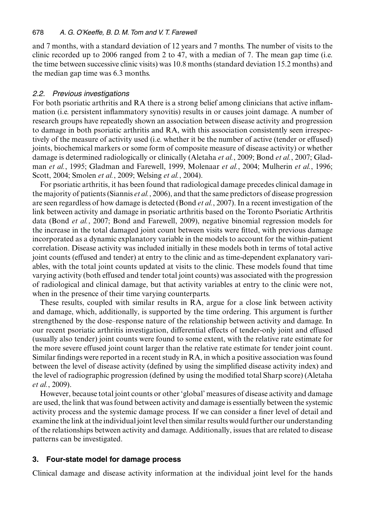and 7 months, with a standard deviation of 12 years and 7 months. The number of visits to the clinic recorded up to 2006 ranged from 2 to 47, with a median of 7. The mean gap time (i.e. the time between successive clinic visits) was 10.8 months (standard deviation 15.2 months) and the median gap time was 6.3 months.

## *2.2. Previous investigations*

For both psoriatic arthritis and RA there is a strong belief among clinicians that active inflammation (i.e. persistent inflammatory synovitis) results in or causes joint damage. A number of research groups have repeatedly shown an association between disease activity and progression to damage in both psoriatic arthritis and RA, with this association consistently seen irrespectively of the measure of activity used (i.e. whether it be the number of active (tender or effused) joints, biochemical markers or some form of composite measure of disease activity) or whether damage is determined radiologically or clinically (Aletaha *et al.*, 2009; Bond *et al.*, 2007; Gladman *et al.*, 1995; Gladman and Farewell, 1999, Molenaar *et al.*, 2004; Mulherin *et al.*, 1996; Scott, 2004; Smolen *et al.*, 2009; Welsing *et al.*, 2004).

For psoriatic arthritis, it has been found that radiological damage precedes clinical damage in the majority of patients (Siannis *et al.*, 2006), and that the same predictors of disease progression are seen regardless of how damage is detected (Bond *et al.*, 2007). In a recent investigation of the link between activity and damage in psoriatic arthritis based on the Toronto Psoriatic Arthritis data (Bond *et al.*, 2007; Bond and Farewell, 2009), negative binomial regression models for the increase in the total damaged joint count between visits were fitted, with previous damage incorporated as a dynamic explanatory variable in the models to account for the within-patient correlation. Disease activity was included initially in these models both in terms of total active joint counts (effused and tender) at entry to the clinic and as time-dependent explanatory variables, with the total joint counts updated at visits to the clinic. These models found that time varying activity (both effused and tender total joint counts) was associated with the progression of radiological and clinical damage, but that activity variables at entry to the clinic were not, when in the presence of their time varying counterparts.

These results, coupled with similar results in RA, argue for a close link between activity and damage, which, additionally, is supported by the time ordering. This argument is further strengthened by the dose–response nature of the relationship between activity and damage. In our recent psoriatic arthritis investigation, differential effects of tender-only joint and effused (usually also tender) joint counts were found to some extent, with the relative rate estimate for the more severe effused joint count larger than the relative rate estimate for tender joint count. Similar findings were reported in a recent study in RA, in which a positive association was found between the level of disease activity (defined by using the simplified disease activity index) and the level of radiographic progression (defined by using the modified total Sharp score) (Aletaha *et al.*, 2009).

However, because total joint counts or other 'global' measures of disease activity and damage are used, the link that was found between activity and damage is essentially between the systemic activity process and the systemic damage process. If we can consider a finer level of detail and examine the link at the individual joint level then similar results would further our understanding of the relationships between activity and damage. Additionally, issues that are related to disease patterns can be investigated.

# **3. Four-state model for damage process**

Clinical damage and disease activity information at the individual joint level for the hands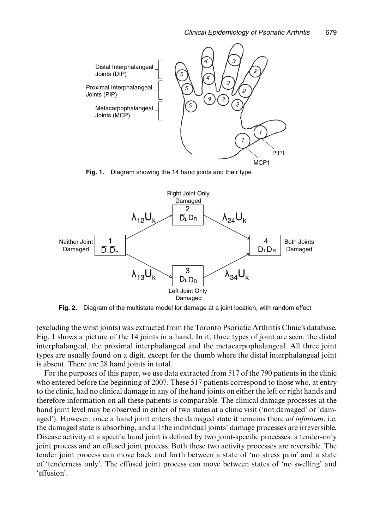

**Fig. 1.** Diagram showing the 14 hand joints and their type



**Fig. 2.** Diagram of the multistate model for damage at a joint location, with random effect

(excluding the wrist joints) was extracted from the Toronto Psoriatic Arthritis Clinic's database. Fig. 1 shows a picture of the 14 joints in a hand. In it, three types of joint are seen: the distal interphalangeal, the proximal interphalangeal and the metacarpophalangeal. All three joint types are usually found on a digit, except for the thumb where the distal interphalangeal joint is absent. There are 28 hand joints in total.

For the purposes of this paper, we use data extracted from 517 of the 790 patients in the clinic who entered before the beginning of 2007. These 517 patients correspond to those who, at entry to the clinic, had no clinical damage in any of the hand joints on either the left or right hands and therefore information on all these patients is comparable. The clinical damage processes at the hand joint level may be observed in either of two states at a clinic visit ('not damaged' or 'damaged'). However, once a hand joint enters the damaged state it remains there *ad infinitum*, i.e. the damaged state is absorbing, and all the individual joints' damage processes are irreversible. Disease activity at a specific hand joint is defined by two joint-specific processes: a tender-only joint process and an effused joint process. Both these two activity processes are reversible. The tender joint process can move back and forth between a state of 'no stress pain' and a state of 'tenderness only'. The effused joint process can move between states of 'no swelling' and 'effusion'.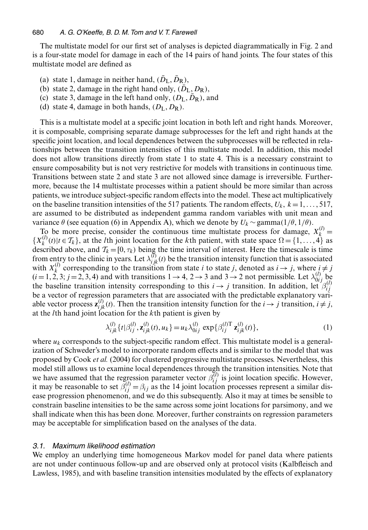The multistate model for our first set of analyses is depicted diagrammatically in Fig. 2 and is a four-state model for damage in each of the 14 pairs of hand joints. The four states of this multistate model are defined as

- (a) state 1, damage in neither hand,  $(\bar{D}_{\rm L}, \bar{D}_{\rm R}),$
- (b) state 2, damage in the right hand only,  $(\bar{D}_{\rm L}, D_{\rm R}),$
- (c) state 3, damage in the left hand only,  $(D_L, \bar{D}_R)$ , and
- (d) state 4, damage in both hands,  $(D_L, D_R)$ .

This is a multistate model at a specific joint location in both left and right hands. Moreover, it is composable, comprising separate damage subprocesses for the left and right hands at the specific joint location, and local dependences between the subprocesses will be reflected in relationships between the transition intensities of this multistate model. In addition, this model does not allow transitions directly from state 1 to state 4. This is a necessary constraint to ensure composability but is not very restrictive for models with transitions in continuous time. Transitions between state 2 and state 3 are not allowed since damage is irreversible. Furthermore, because the 14 multistate processes within a patient should be more similar than across patients, we introduce subject-specific random effects into the model. These act multiplicatively on the baseline transition intensities of the 517 patients. The random effects,  $U_k$ ,  $k = 1, \ldots, 517$ , are assumed to be distributed as independent gamma random variables with unit mean and variance  $\theta$  (see equation (6) in Appendix A), which we denote by  $U_k \sim \text{gamma}(1/\theta, 1/\theta)$ .

To be more precise, consider the continuous time multistate process for damage,  $X_k^{(l)} =$  $\{X_k^{(l)}(t) | t \in \mathcal{T}_k\}$ , at the *l*th joint location for the *k*th patient, with state space  $\Omega = \{1, ..., 4\}$  as described above, and  $T_k = [0, \tau_k)$  being the time interval of interest. Here the timescale is time from entry to the clinic in years. Let  $\lambda_{ijk}^{(l)}(t)$  be the transition intensity function that is associated with  $X_k^{(l)}$  corresponding to the transition from state *i* to state *j*, denoted as  $i \rightarrow j$ , where  $i \neq j$  $(i=1, 2, 3; j=2, 3, 4)$  and with transitions  $1 \rightarrow 4$ ,  $2 \rightarrow 3$  and  $3 \rightarrow 2$  not permissible. Let  $\lambda_{0ij}^{(l)}$  be the baseline transition intensity corresponding to this  $i \rightarrow j$  transition. In addition, let  $\beta_{ij}^{(l)}$ be a vector of regression parameters that are associated with the predictable explanatory variable vector process  $\mathbf{z}_{ijk}^{(l)}(t)$ . Then the transition intensity function for the  $i \rightarrow j$  transition,  $i \neq j$ , at the *l*th hand joint location for the *k*th patient is given by

$$
\lambda_{ijk}^{(l)} \{t | \beta_{ij}^{(l)}, \mathbf{z}_{ijk}^{(l)}(t), u_k\} = u_k \lambda_{0ij}^{(l)} \exp\{\beta_{ij}^{(l)\mathsf{T}} \mathbf{z}_{ijk}^{(l)}(t)\},\tag{1}
$$

where  $u_k$  corresponds to the subject-specific random effect. This multistate model is a generalization of Schweder's model to incorporate random effects and is similar to the model that was proposed by Cook *et al.* (2004) for clustered progressive multistate processes. Nevertheless, this model still allows us to examine local dependences through the transition intensities. Note that we have assumed that the regression parameter vector  $\beta_{ij}^{(l)}$  is joint location specific. However, it may be reasonable to set  $\beta_{ij}^{(l)} = \beta_{ij}$  as the 14 joint location processes represent a similar disease progression phenomenon, and we do this subsequently. Also it may at times be sensible to constrain baseline intensities to be the same across some joint locations for parsimony, and we shall indicate when this has been done. Moreover, further constraints on regression parameters may be acceptable for simplification based on the analyses of the data.

## *3.1. Maximum likelihood estimation*

We employ an underlying time homogeneous Markov model for panel data where patients are not under continuous follow-up and are observed only at protocol visits (Kalbfleisch and Lawless, 1985), and with baseline transition intensities modulated by the effects of explanatory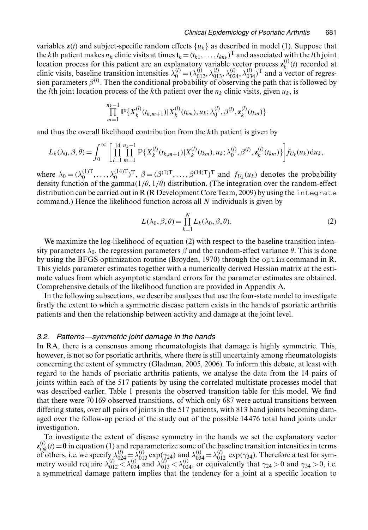variables  $z(t)$  and subject-specific random effects  $\{u_k\}$  as described in model (1). Suppose that the *k*th patient makes  $n_k$  clinic visits at times  $\mathbf{t}_k = (t_{k1}, \ldots, t_{kn_k})^\text{T}$  and associated with the *l*th joint location process for this patient are an explanatory variable vector process  $\mathbf{z}_k^{(l)}(t)$  recorded at clinic visits, baseline transition intensities  $\lambda_0^{(l)} = (\lambda_{012}^{(l)}, \lambda_{013}^{(l)}, \lambda_{024}^{(l)}, \lambda_{034}^{(l)})^{\text{T}}$  and a vector of regression parameters  $\beta^{(l)}$ . Then the conditional probability of observing the path that is followed by the *l*th joint location process of the *k*th patient over the  $n_k$  clinic visits, given  $u_k$ , is

$$
\prod_{m=1}^{n_k-1} \mathbb{P}\{X_k^{(l)}(t_{k,m+1})|X_k^{(l)}(t_{km}),u_k;\lambda_0^{(l)},\beta^{(l)},\mathbf{z}_k^{(l)}(t_{km})\}
$$

and thus the overall likelihood contribution from the *k*th patient is given by

$$
L_k(\lambda_0, \beta, \theta) = \int_0^\infty \left[ \prod_{l=1}^{14} \prod_{m=1}^{n_k-1} \mathbb{P}\{X_k^{(l)}(t_{k,m+1})|X_k^{(l)}(t_{km}), u_k; \lambda_0^{(l)}, \beta^{(l)}, \mathbf{z}_k^{(l)}(t_{km})\} \right] f_{U_k}(u_k) \, \mathrm{d}u_k,
$$

where  $\lambda_0 = (\lambda_0^{(1)T}, \dots, \lambda_0^{(14)T})^T$ ,  $\beta = (\beta^{(1)T}, \dots, \beta^{(14)T})^T$  and  $f_{U_k}(u_k)$  denotes the probability density function of the gamma $(1/\theta, 1/\theta)$  distribution. (The integration over the random-effect distribution can be carried out in R (R Development Core Team, 2009) by using the integrate command.) Hence the likelihood function across all *N* individuals is given by

$$
L(\lambda_0, \beta, \theta) = \prod_{k=1}^{N} L_k(\lambda_0, \beta, \theta).
$$
 (2)

We maximize the log-likelihood of equation (2) with respect to the baseline transition intensity parameters  $\lambda_0$ , the regression parameters  $\beta$  and the random-effect variance  $\theta$ . This is done by using the BFGS optimization routine (Broyden, 1970) through the optim command in R. This yields parameter estimates together with a numerically derived Hessian matrix at the estimate values from which asymptotic standard errors for the parameter estimates are obtained. Comprehensive details of the likelihood function are provided in Appendix A.

In the following subsections, we describe analyses that use the four-state model to investigate firstly the extent to which a symmetric disease pattern exists in the hands of psoriatic arthritis patients and then the relationship between activity and damage at the joint level.

## *3.2. Patterns—symmetric joint damage in the hands*

In RA, there is a consensus among rheumatologists that damage is highly symmetric. This, however, is not so for psoriatic arthritis, where there is still uncertainty among rheumatologists concerning the extent of symmetry (Gladman, 2005, 2006). To inform this debate, at least with regard to the hands of psoriatic arthritis patients, we analyse the data from the 14 pairs of joints within each of the 517 patients by using the correlated multistate processes model that was described earlier. Table 1 presents the observed transition table for this model. We find that there were 70 169 observed transitions, of which only 687 were actual transitions between differing states, over all pairs of joints in the 517 patients, with 813 hand joints becoming damaged over the follow-up period of the study out of the possible 14 476 total hand joints under investigation.

To investigate the extent of disease symmetry in the hands we set the explanatory vector  $z_{ijk}^{(l)}(t) = 0$  in equation (1) and reparameterize some of the baseline transition intensities in terms of others, i.e. we specify  $\lambda_{024}^{(l)} = \lambda_{013}^{(l)} \exp(\gamma_{24})$  and  $\lambda_{034}^{(l)} = \lambda_{012}^{(l)} \exp(\gamma_{34})$ . Therefore a test for symmetry would require  $\lambda_{012}^{(l)} < \lambda_{034}^{(l)}$  and  $\lambda_{013}^{(l)} < \lambda_{024}^{(l)}$ , or equivalently that  $\gamma_{24} > 0$  and  $\gamma_{34} > 0$ , i.e. a symmetrical damage pattern implies that the tendency for a joint at a specific location to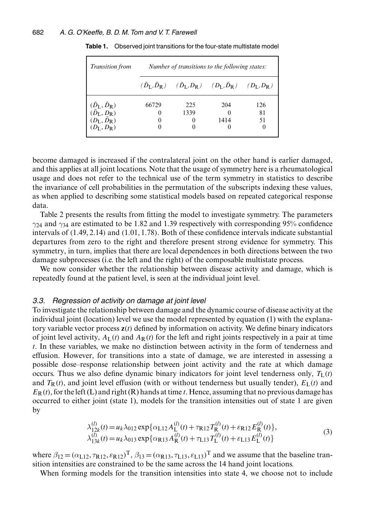| Transition from                                                                                                                      | Number of transitions to the following states: |                                                                                                                             |             |                 |
|--------------------------------------------------------------------------------------------------------------------------------------|------------------------------------------------|-----------------------------------------------------------------------------------------------------------------------------|-------------|-----------------|
|                                                                                                                                      |                                                | $(\bar{D}_{\rm L}, \bar{D}_{\rm R})$ $(\bar{D}_{\rm L}, D_{\rm R})$ $(D_{\rm L}, \bar{D}_{\rm R})$ $(D_{\rm L}, D_{\rm R})$ |             |                 |
| $(\bar{D}_{\text{L}}, \bar{D}_{\text{R}})$<br>$(\bar{D}_{\text{L}}, \underline{D}_{\text{R}})$<br>$(D_L, \bar{D}_R)$<br>$(D_L, D_R)$ | 66729<br>0<br>0<br>$\Omega$                    | 225<br>1339<br>$_{0}$                                                                                                       | 204<br>1414 | 126<br>81<br>51 |

**Table 1.** Observed joint transitions for the four-state multistate model

become damaged is increased if the contralateral joint on the other hand is earlier damaged, and this applies at all joint locations. Note that the usage of symmetry here is a rheumatological usage and does not refer to the technical use of the term symmetry in statistics to describe the invariance of cell probabilities in the permutation of the subscripts indexing these values, as when applied to describing some statistical models based on repeated categorical response data.

Table 2 presents the results from fitting the model to investigate symmetry. The parameters  $\gamma_{24}$  and  $\gamma_{34}$  are estimated to be 1.82 and 1.39 respectively with corresponding 95% confidence intervals of  $(1.49, 2.14)$  and  $(1.01, 1.78)$ . Both of these confidence intervals indicate substantial departures from zero to the right and therefore present strong evidence for symmetry. This symmetry, in turn, implies that there are local dependences in both directions between the two damage subprocesses (i.e. the left and the right) of the composable multistate process.

We now consider whether the relationship between disease activity and damage, which is repeatedly found at the patient level, is seen at the individual joint level.

#### *3.3. Regression of activity on damage at joint level*

To investigate the relationship between damage and the dynamic course of disease activity at the individual joint (location) level we use the model represented by equation (1) with the explanatory variable vector process  $z(t)$  defined by information on activity. We define binary indicators of joint level activity,  $A_L(t)$  and  $A_R(t)$  for the left and right joints respectively in a pair at time *t*. In these variables, we make no distinction between activity in the form of tenderness and effusion. However, for transitions into a state of damage, we are interested in assessing a possible dose–response relationship between joint activity and the rate at which damage occurs. Thus we also define dynamic binary indicators for joint level tenderness only,  $T_{\text{L}}(t)$ and  $T_R(t)$ , and joint level effusion (with or without tenderness but usually tender),  $E_L(t)$  and  $E_R(t)$ , for the left (L) and right (R) hands at time *t*. Hence, assuming that no previous damage has occurred to either joint (state 1), models for the transition intensities out of state 1 are given by

$$
\lambda_{12k}^{(l)}(t) = u_k \lambda_{012} \exp\{\alpha_{L12} A_L^{(l)}(t) + \tau_{R12} T_R^{(l)}(t) + \varepsilon_{R12} E_R^{(l)}(t)\},
$$
  
\n
$$
\lambda_{13k}^{(l)}(t) = u_k \lambda_{013} \exp\{\alpha_{R13} A_R^{(l)}(t) + \tau_{L13} T_L^{(l)}(t) + \varepsilon_{L13} E_L^{(l)}(t)\}\
$$
\n(3)

where  $\beta_{12} = (\alpha_{L12}, \tau_{R12}, \varepsilon_{R12})^T$ ,  $\beta_{13} = (\alpha_{R13}, \tau_{L13}, \varepsilon_{L13})^T$  and we assume that the baseline transition intensities are constrained to be the same across the 14 hand joint locations.

When forming models for the transition intensities into state 4, we choose not to include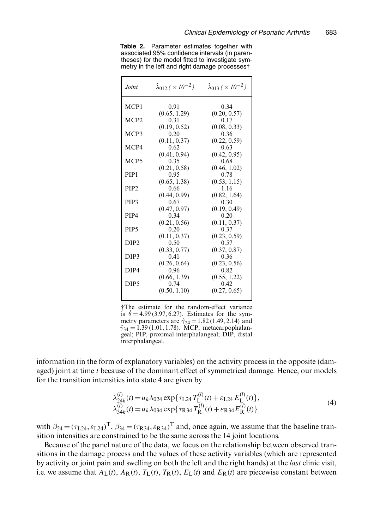| <b>Table 2.</b> Parameter estimates together with |
|---------------------------------------------------|
| associated 95% confidence intervals (in paren-    |
| theses) for the model fitted to investigate sym-  |
| metry in the left and right damage processes†     |

| Joint            | $\hat{\lambda}_{012} (\times 10^{-2})$ | $\hat{\lambda}_{013} (\times 10^{-2})$ |
|------------------|----------------------------------------|----------------------------------------|
| MCP1             | 0.91<br>(0.65, 1.29)                   | 0.34<br>(0.20, 0.57)                   |
| MCP <sub>2</sub> | 0.31                                   | 0.17                                   |
| MCP3             | (0.19, 0.52)<br>0.20<br>(0.11, 0.37)   | (0.08, 0.33)<br>0.36<br>(0.22, 0.59)   |
| MCP4             | 0.62                                   | 0.63                                   |
| MCP <sub>5</sub> | (0.41, 0.94)<br>0.35<br>(0.21, 0.58)   | (0.42, 0.95)<br>0.68<br>(0.46, 1.02)   |
| PIP <sub>1</sub> | 0.95                                   | 0.78                                   |
| PIP <sub>2</sub> | (0.65, 1.38)<br>0.66<br>(0.44, 0.99)   | (0.53, 1.15)<br>1.16                   |
| PIP <sub>3</sub> | 0.67                                   | (0.82, 1.64)<br>0.30                   |
| PIP4             | (0.47, 0.97)<br>0.34<br>(0.21, 0.56)   | (0.19, 0.49)<br>0.20<br>(0.11, 0.37)   |
| PIP <sub>5</sub> | 0.20                                   | 0.37                                   |
| DIP <sub>2</sub> | (0.11, 0.37)<br>0.50<br>(0.33, 0.77)   | (0.23, 0.59)<br>0.57<br>(0.37, 0.87)   |
| DIP <sub>3</sub> | 0.41                                   | 0.36                                   |
| DIP <sub>4</sub> | (0.26, 0.64)<br>0.96<br>(0.66, 1.39)   | (0.23, 0.56)<br>0.82<br>(0.55, 1.22)   |
| DIP <sub>5</sub> | 0.74<br>(0.50, 1.10)                   | 0.42<br>(0.27, 0.65)                   |
|                  |                                        |                                        |

†The estimate for the random-effect variance is  $\theta = 4.99 (3.97, 6.27)$ . Estimates for the symmetry parameters are  $\hat{\gamma}_{24} = 1.82 (1.49, 2.14)$  and  $\hat{\gamma}_{34} = 1.39 \, (1.01, 1.78)$ . MCP, metacarpophalangeal; PIP, proximal interphalangeal; DIP, distal interphalangeal.

information (in the form of explanatory variables) on the activity process in the opposite (damaged) joint at time *t* because of the dominant effect of symmetrical damage. Hence, our models for the transition intensities into state 4 are given by

$$
\lambda_{24k}^{(l)}(t) = u_k \lambda_{024} \exp{\{\tau_{L24} T_L^{(l)}(t) + \varepsilon_{L24} E_L^{(l)}(t)\}},
$$
  
\n
$$
\lambda_{34k}^{(l)}(t) = u_k \lambda_{034} \exp{\{\tau_{R34} T_R^{(l)}(t) + \varepsilon_{R34} E_R^{(l)}(t)\}} \tag{4}
$$

with  $\beta_{24} = (\tau_{L24}, \varepsilon_{L24})^T$ ,  $\beta_{34} = (\tau_{R34}, \varepsilon_{R34})^T$  and, once again, we assume that the baseline transition intensities are constrained to be the same across the 14 joint locations.

Because of the panel nature of the data, we focus on the relationship between observed transitions in the damage process and the values of these activity variables (which are represented by activity or joint pain and swelling on both the left and the right hands) at the *last* clinic visit, i.e. we assume that  $A_L(t)$ ,  $A_R(t)$ ,  $T_L(t)$ ,  $T_R(t)$ ,  $E_L(t)$  and  $E_R(t)$  are piecewise constant between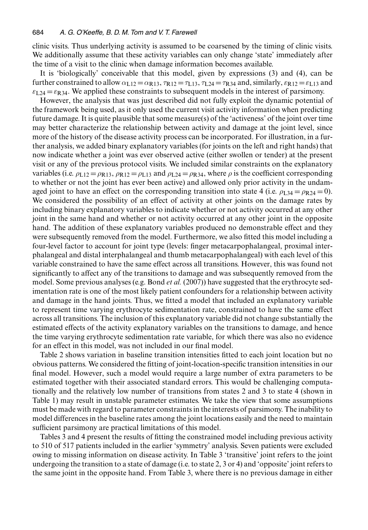clinic visits. Thus underlying activity is assumed to be coarsened by the timing of clinic visits. We additionally assume that these activity variables can only change 'state' immediately after the time of a visit to the clinic when damage information becomes available.

It is 'biologically' conceivable that this model, given by expressions (3) and (4), can be further constrained to allow  $\alpha_{L12} = \alpha_{R13}$ ,  $\tau_{R12} = \tau_{L13}$ ,  $\tau_{L24} = \tau_{R34}$  and, similarly,  $\varepsilon_{R12} = \varepsilon_{L13}$  and  $\varepsilon_{L24} = \varepsilon_{R34}$ . We applied these constraints to subsequent models in the interest of parsimony.

However, the analysis that was just described did not fully exploit the dynamic potential of the framework being used, as it only used the current visit activity information when predicting future damage. It is quite plausible that some measure(s) of the 'activeness' of the joint over time may better characterize the relationship between activity and damage at the joint level, since more of the history of the disease activity process can be incorporated. For illustration, in a further analysis, we added binary explanatory variables (for joints on the left and right hands) that now indicate whether a joint was ever observed active (either swollen or tender) at the present visit or any of the previous protocol visits. We included similar constraints on the explanatory variables (i.e.  $\rho_{L12} = \rho_{R13}$ ,  $\rho_{R12} = \rho_{L13}$  and  $\rho_{L24} = \rho_{R34}$ , where  $\rho$  is the coefficient corresponding to whether or not the joint has ever been active) and allowed only prior activity in the undamaged joint to have an effect on the corresponding transition into state 4 (i.e.  $\rho_{1,34} = \rho_{R24} = 0$ ). We considered the possibility of an effect of activity at other joints on the damage rates by including binary explanatory variables to indicate whether or not activity occurred at any other joint in the same hand and whether or not activity occurred at any other joint in the opposite hand. The addition of these explanatory variables produced no demonstrable effect and they were subsequently removed from the model. Furthermore, we also fitted this model including a four-level factor to account for joint type (levels: finger metacarpophalangeal, proximal interphalangeal and distal interphalangeal and thumb metacarpophalangeal) with each level of this variable constrained to have the same effect across all transitions. However, this was found not significantly to affect any of the transitions to damage and was subsequently removed from the model. Some previous analyses (e.g. Bond *et al.* (2007)) have suggested that the erythrocyte sedimentation rate is one of the most likely patient confounders for a relationship between activity and damage in the hand joints. Thus, we fitted a model that included an explanatory variable to represent time varying erythrocyte sedimentation rate, constrained to have the same effect across all transitions. The inclusion of this explanatory variable did not change substantially the estimated effects of the activity explanatory variables on the transitions to damage, and hence the time varying erythrocyte sedimentation rate variable, for which there was also no evidence for an effect in this model, was not included in our final model.

Table 2 shows variation in baseline transition intensities fitted to each joint location but no obvious patterns. We considered the fitting of joint-location-specific transition intensities in our final model. However, such a model would require a large number of extra parameters to be estimated together with their associated standard errors. This would be challenging computationally and the relatively low number of transitions from states 2 and 3 to state 4 (shown in Table 1) may result in unstable parameter estimates. We take the view that some assumptions must be made with regard to parameter constraints in the interests of parsimony. The inability to model differences in the baseline rates among the joint locations easily and the need to maintain sufficient parsimony are practical limitations of this model.

Tables 3 and 4 present the results of fitting the constrained model including previous activity to 510 of 517 patients included in the earlier 'symmetry' analysis. Seven patients were excluded owing to missing information on disease activity. In Table 3 'transitive' joint refers to the joint undergoing the transition to a state of damage (i.e. to state 2, 3 or 4) and 'opposite' joint refers to the same joint in the opposite hand. From Table 3, where there is no previous damage in either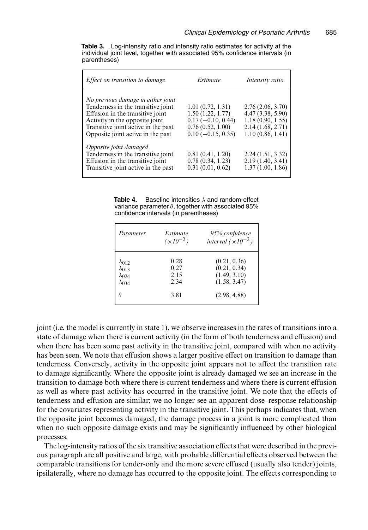**Table 3.** Log-intensity ratio and intensity ratio estimates for activity at the individual joint level, together with associated 95% confidence intervals (in parentheses)

| Effect on transition to damage                                                                                                                                                                                             | Estimate                                                                                                | Intensity ratio                                                                                   |
|----------------------------------------------------------------------------------------------------------------------------------------------------------------------------------------------------------------------------|---------------------------------------------------------------------------------------------------------|---------------------------------------------------------------------------------------------------|
| No previous damage in either joint<br>Tenderness in the transitive joint<br>Effusion in the transitive joint<br>Activity in the opposite joint<br>Transitive joint active in the past<br>Opposite joint active in the past | 1.01(0.72, 1.31)<br>1.50(1.22, 1.77)<br>$0.17(-0.10, 0.44)$<br>0.76(0.52, 1.00)<br>$0.10 (-0.15, 0.35)$ | 2.76(2.06, 3.70)<br>4.47 (3.38, 5.90)<br>1.18(0.90, 1.55)<br>2.14(1.68, 2.71)<br>1.10(0.86, 1.41) |
| Opposite joint damaged<br>Tenderness in the transitive joint<br>Effusion in the transitive joint<br>Transitive joint active in the past                                                                                    | 0.81(0.41, 1.20)<br>0.78(0.34, 1.23)<br>0.31(0.01, 0.62)                                                | 2.24(1.51, 3.32)<br>2.19(1.40, 3.41)<br>1.37(1.00, 1.86)                                          |

**Table 4.** Baseline intensities λ and random-effect variance parameter  $\theta$ , together with associated 95% confidence intervals (in parentheses)

| Parameter       | Estimate<br>$(x10^{-2})$ | 95% confidence<br>interval $(\times 10^{-2})$ |
|-----------------|--------------------------|-----------------------------------------------|
| $\lambda_{012}$ | 0.28                     | (0.21, 0.36)                                  |
| $\lambda_{013}$ | 0.27                     | (0.21, 0.34)                                  |
| $\lambda_{024}$ | 2.15                     | (1.49, 3.10)                                  |
| $\lambda_{034}$ | 2.34                     | (1.58, 3.47)                                  |
| θ               | 3.81                     | (2.98, 4.88)                                  |

joint (i.e. the model is currently in state 1), we observe increases in the rates of transitions into a state of damage when there is current activity (in the form of both tenderness and effusion) and when there has been some past activity in the transitive joint, compared with when no activity has been seen. We note that effusion shows a larger positive effect on transition to damage than tenderness. Conversely, activity in the opposite joint appears not to affect the transition rate to damage significantly. Where the opposite joint is already damaged we see an increase in the transition to damage both where there is current tenderness and where there is current effusion as well as where past activity has occurred in the transitive joint. We note that the effects of tenderness and effusion are similar; we no longer see an apparent dose–response relationship for the covariates representing activity in the transitive joint. This perhaps indicates that, when the opposite joint becomes damaged, the damage process in a joint is more complicated than when no such opposite damage exists and may be significantly influenced by other biological processes.

The log-intensity ratios of the six transitive association effects that were described in the previous paragraph are all positive and large, with probable differential effects observed between the comparable transitions for tender-only and the more severe effused (usually also tender) joints, ipsilaterally, where no damage has occurred to the opposite joint. The effects corresponding to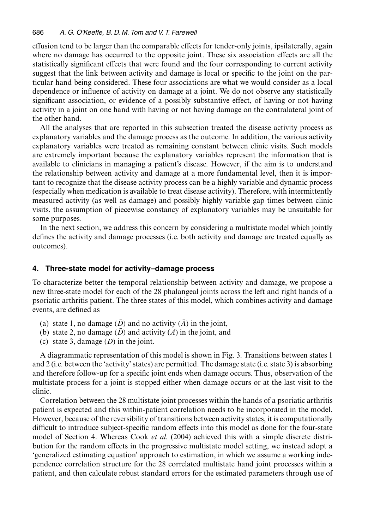effusion tend to be larger than the comparable effects for tender-only joints, ipsilaterally, again where no damage has occurred to the opposite joint. These six association effects are all the statistically significant effects that were found and the four corresponding to current activity suggest that the link between activity and damage is local or specific to the joint on the particular hand being considered. These four associations are what we would consider as a local dependence or influence of activity on damage at a joint. We do not observe any statistically significant association, or evidence of a possibly substantive effect, of having or not having activity in a joint on one hand with having or not having damage on the contralateral joint of the other hand.

All the analyses that are reported in this subsection treated the disease activity process as explanatory variables and the damage process as the outcome. In addition, the various activity explanatory variables were treated as remaining constant between clinic visits. Such models are extremely important because the explanatory variables represent the information that is available to clinicians in managing a patient's disease. However, if the aim is to understand the relationship between activity and damage at a more fundamental level, then it is important to recognize that the disease activity process can be a highly variable and dynamic process (especially when medication is available to treat disease activity). Therefore, with intermittently measured activity (as well as damage) and possibly highly variable gap times between clinic visits, the assumption of piecewise constancy of explanatory variables may be unsuitable for some purposes.

In the next section, we address this concern by considering a multistate model which jointly defines the activity and damage processes (i.e. both activity and damage are treated equally as outcomes).

## **4. Three-state model for activity–damage process**

To characterize better the temporal relationship between activity and damage, we propose a new three-state model for each of the 28 phalangeal joints across the left and right hands of a psoriatic arthritis patient. The three states of this model, which combines activity and damage events, are defined as

- (a) state 1, no damage  $(\bar{D})$  and no activity  $(\bar{A})$  in the joint,
- (b) state 2, no damage  $(\bar{D})$  and activity  $(A)$  in the joint, and
- (c) state 3, damage  $(D)$  in the joint.

A diagrammatic representation of this model is shown in Fig. 3. Transitions between states 1 and 2 (i.e. between the 'activity' states) are permitted. The damage state (i.e. state 3) is absorbing and therefore follow-up for a specific joint ends when damage occurs. Thus, observation of the multistate process for a joint is stopped either when damage occurs or at the last visit to the clinic.

Correlation between the 28 multistate joint processes within the hands of a psoriatic arthritis patient is expected and this within-patient correlation needs to be incorporated in the model. However, because of the reversibility of transitions between activity states, it is computationally difficult to introduce subject-specific random effects into this model as done for the four-state model of Section 4. Whereas Cook *et al.* (2004) achieved this with a simple discrete distribution for the random effects in the progressive multistate model setting, we instead adopt a 'generalized estimating equation' approach to estimation, in which we assume a working independence correlation structure for the 28 correlated multistate hand joint processes within a patient, and then calculate robust standard errors for the estimated parameters through use of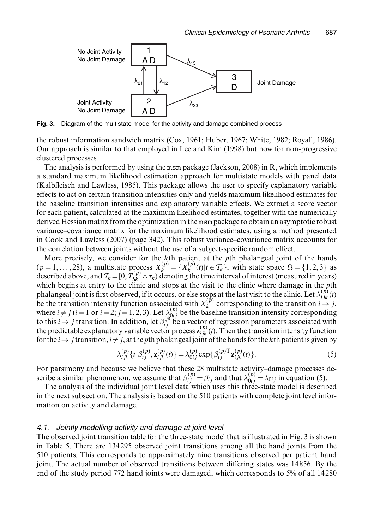

**Fig. 3.** Diagram of the multistate model for the activity and damage combined process

the robust information sandwich matrix (Cox, 1961; Huber, 1967; White, 1982; Royall, 1986). Our approach is similar to that employed in Lee and Kim (1998) but now for non-progressive clustered processes.

The analysis is performed by using the msm package (Jackson, 2008) in R, which implements a standard maximum likelihood estimation approach for multistate models with panel data (Kalbfleisch and Lawless, 1985). This package allows the user to specify explanatory variable effects to act on certain transition intensities only and yields maximum likelihood estimates for the baseline transition intensities and explanatory variable effects. We extract a score vector for each patient, calculated at the maximum likelihood estimates, together with the numerically derived Hessian matrix from the optimization in the msm package to obtain an asymptotic robust variance–covariance matrix for the maximum likelihood estimates, using a method presented in Cook and Lawless (2007) (page 342). This robust variance–covariance matrix accounts for the correlation between joints without the use of a subject-specific random effect.

More precisely, we consider for the *k*th patient at the *p*th phalangeal joint of the hands  $(p=1,\ldots,28)$ , a multistate process  $X_k^{(p)} = \{X_k^{(p)}(t) | t \in \mathcal{T}_k\}$ , with state space  $\Omega = \{1,2,3\}$  as described above, and  $T_k = [0, T_{Sk}^{(p)} \wedge \tau_k)$  denoting the time interval of interest (measured in years) which begins at entry to the clinic and stops at the visit to the clinic where damage in the *p*th phalangeal joint is first observed, if it occurs, or else stops at the last visit to the clinic. Let  $\lambda_{ijk}^{(p)}(t)$ be the transition intensity function associated with  $X_k^{(\tilde{p})}$  corresponding to the transition  $i \to j$ , where  $i \neq j$  ( $i = 1$  or  $i = 2$ ;  $j = 1, 2, 3$ ). Let  $\lambda_{0ij}^{(p)}$  be the baseline transition intensity corresponding to this  $i \rightarrow j$  transition. In addition, let  $\beta_{ij}^{(p)}$  be a vector of regression parameters associated with the producted with the product product in the product of the product of the product of the product of the produc the predictable explanatory variable vector process  $\mathbf{z}_{ijk}^{(p)}(t)$ . Then the transition intensity function for the  $i \rightarrow j$  transition,  $i \neq j$ , at the *p*th phalangeal joint of the hands for the *k*th patient is given by

$$
\lambda_{ijk}^{(p)}\{t|\beta_{ij}^{(p)}, \mathbf{z}_{ijk}^{(p)}(t)\} = \lambda_{0ij}^{(p)}\exp{\{\beta_{ij}^{(p)T}\mathbf{z}_{ijk}^{(p)}(t)\}}.
$$
\n(5)

For parsimony and because we believe that these 28 multistate activity–damage processes describe a similar phenomenon, we assume that  $\beta_{ij}^{(p)} = \beta_{ij}$  and that  $\lambda_{0ij}^{(p)} = \lambda_{0ij}$  in equation (5).

The analysis of the individual joint level data which uses this three-state model is described in the next subsection. The analysis is based on the 510 patients with complete joint level information on activity and damage.

## *4.1. Jointly modelling activity and damage at joint level*

The observed joint transition table for the three-state model that is illustrated in Fig. 3 is shown in Table 5. There are 134 295 observed joint transitions among all the hand joints from the 510 patients. This corresponds to approximately nine transitions observed per patient hand joint. The actual number of observed transitions between differing states was 14 856. By the end of the study period 772 hand joints were damaged, which corresponds to 5% of all 14 280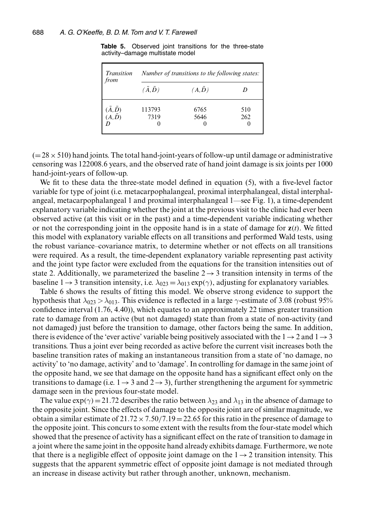| <b>Transition</b><br>from                  | Number of transitions to the following states: |       |                     |  |
|--------------------------------------------|------------------------------------------------|-------|---------------------|--|
|                                            | (A,D)                                          | (A,D) | D                   |  |
| $(\overline{A}, D)$<br>$(A, \overline{D})$ | 113793                                         | 6765  | 510                 |  |
|                                            | 7319                                           | 5646  | 262<br>$\mathbf{0}$ |  |

**Table 5.** Observed joint transitions for the three-state activity–damage multistate model

 $(=28\times 510)$  hand joints. The total hand-joint-years of follow-up until damage or administrative censoring was 122008.6 years, and the observed rate of hand joint damage is six joints per 1000 hand-joint-years of follow-up.

We fit to these data the three-state model defined in equation (5), with a five-level factor variable for type of joint (i.e. metacarpophalangeal, proximal interphalangeal, distal interphalangeal, metacarpophalangeal 1 and proximal interphalangeal 1—see Fig. 1), a time-dependent explanatory variable indicating whether the joint at the previous visit to the clinic had ever been observed active (at this visit or in the past) and a time-dependent variable indicating whether or not the corresponding joint in the opposite hand is in a state of damage for  $z(t)$ . We fitted this model with explanatory variable effects on all transitions and performed Wald tests, using the robust variance–covariance matrix, to determine whether or not effects on all transitions were required. As a result, the time-dependent explanatory variable representing past activity and the joint type factor were excluded from the equations for the transition intensities out of state 2. Additionally, we parameterized the baseline  $2 \rightarrow 3$  transition intensity in terms of the baseline  $1 \rightarrow 3$  transition intensity, i.e.  $\lambda_{023} = \lambda_{013} \exp(\gamma)$ , adjusting for explanatory variables.

Table 6 shows the results of fitting this model. We observe strong evidence to support the hypothesis that  $\lambda_{023} > \lambda_{013}$ . This evidence is reflected in a large  $\gamma$ -estimate of 3.08 (robust 95%) confidence interval (1.76, 4.40)), which equates to an approximately 22 times greater transition rate to damage from an active (but not damaged) state than from a state of non-activity (and not damaged) just before the transition to damage, other factors being the same. In addition, there is evidence of the 'ever active' variable being positively associated with the  $1\rightarrow 2$  and  $1\rightarrow 3$ transitions. Thus a joint ever being recorded as active before the current visit increases both the baseline transition rates of making an instantaneous transition from a state of 'no damage, no activity' to 'no damage, activity' and to 'damage'. In controlling for damage in the same joint of the opposite hand, we see that damage on the opposite hand has a significant effect only on the transitions to damage (i.e.  $1 \rightarrow 3$  and  $2 \rightarrow 3$ ), further strengthening the argument for symmetric damage seen in the previous four-state model.

The value  $\exp(\gamma) = 21.72$  describes the ratio between  $\lambda_{23}$  and  $\lambda_{13}$  in the absence of damage to the opposite joint. Since the effects of damage to the opposite joint are of similar magnitude, we obtain a similar estimate of  $21.72 \times 7.50/7.19 = 22.65$  for this ratio in the presence of damage to the opposite joint. This concurs to some extent with the results from the four-state model which showed that the presence of activity has a significant effect on the rate of transition to damage in a joint where the same joint in the opposite hand already exhibits damage. Furthermore, we note that there is a negligible effect of opposite joint damage on the  $1 \rightarrow 2$  transition intensity. This suggests that the apparent symmetric effect of opposite joint damage is not mediated through an increase in disease activity but rather through another, unknown, mechanism.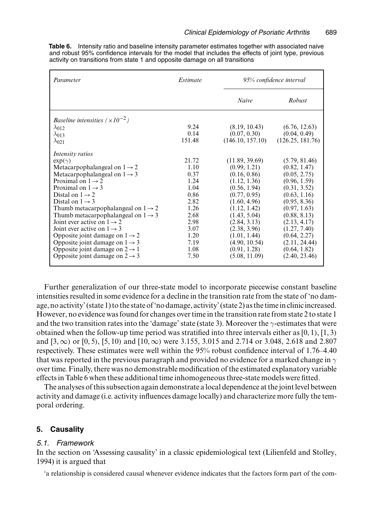| Parameter                                                                                                                                                                                                                                                                                                                                                                                                                                                                                                                                     | Estimate                                                                                              |                                                                                                                                                                                                                 | 95% confidence interval                                                                                                                                                                                        |  |
|-----------------------------------------------------------------------------------------------------------------------------------------------------------------------------------------------------------------------------------------------------------------------------------------------------------------------------------------------------------------------------------------------------------------------------------------------------------------------------------------------------------------------------------------------|-------------------------------------------------------------------------------------------------------|-----------------------------------------------------------------------------------------------------------------------------------------------------------------------------------------------------------------|----------------------------------------------------------------------------------------------------------------------------------------------------------------------------------------------------------------|--|
|                                                                                                                                                                                                                                                                                                                                                                                                                                                                                                                                               |                                                                                                       | Naive                                                                                                                                                                                                           | Robust                                                                                                                                                                                                         |  |
| <i>Baseline intensities</i> ( $\times 10^{-2}$ )                                                                                                                                                                                                                                                                                                                                                                                                                                                                                              |                                                                                                       |                                                                                                                                                                                                                 |                                                                                                                                                                                                                |  |
| $\lambda_{012}$                                                                                                                                                                                                                                                                                                                                                                                                                                                                                                                               | 9.24                                                                                                  | (8.19, 10.43)                                                                                                                                                                                                   | (6.76, 12.63)                                                                                                                                                                                                  |  |
| $\lambda_{013}$                                                                                                                                                                                                                                                                                                                                                                                                                                                                                                                               | 0.14                                                                                                  | (0.07, 0.30)                                                                                                                                                                                                    | (0.04, 0.49)                                                                                                                                                                                                   |  |
| $\lambda_{021}$                                                                                                                                                                                                                                                                                                                                                                                                                                                                                                                               | 151.48                                                                                                | (146.10, 157.10)                                                                                                                                                                                                | (126.25, 181.76)                                                                                                                                                                                               |  |
| Intensity ratios<br>$exp(\gamma)$<br>Metacarpophalangeal on $1 \rightarrow 2$<br>Metacarpophalangeal on $1 \rightarrow 3$<br>Proximal on $1 \rightarrow 2$<br>Proximal on $1 \rightarrow 3$<br>Distal on $1 \rightarrow 2$<br>Distal on $1 \rightarrow 3$<br>Thumb metacarpophalangeal on $1 \rightarrow 2$<br>Thumb metacarpophalangeal on $1 \rightarrow 3$<br>Joint ever active on $1 \rightarrow 2$<br>Joint ever active on $1 \rightarrow 3$<br>Opposite joint damage on $1 \rightarrow 2$<br>Opposite joint damage on $1 \rightarrow 3$ | 21.72<br>1.10<br>0.37<br>1.24<br>1.04<br>0.86<br>2.82<br>1.26<br>2.68<br>2.98<br>3.07<br>1.20<br>7.19 | (11.89, 39.69)<br>(0.99, 1.21)<br>(0.16, 0.86)<br>(1.12, 1.36)<br>(0.56, 1.94)<br>(0.77, 0.95)<br>(1.60, 4.96)<br>(1.12, 1.42)<br>(1.43, 5.04)<br>(2.84, 3.13)<br>(2.38, 3.96)<br>(1.01, 1.44)<br>(4.90, 10.54) | (5.79, 81.46)<br>(0.82, 1.47)<br>(0.05, 2.75)<br>(0.96, 1.59)<br>(0.31, 3.52)<br>(0.63, 1.16)<br>(0.95, 8.36)<br>(0.97, 1.63)<br>(0.88, 8.13)<br>(2.13, 4.17)<br>(1.27, 7.40)<br>(0.64, 2.27)<br>(2.11, 24.44) |  |
| Opposite joint damage on $2 \rightarrow 1$<br>Opposite joint damage on $2 \rightarrow 3$                                                                                                                                                                                                                                                                                                                                                                                                                                                      | 1.08<br>7.50                                                                                          | (0.91, 1.28)<br>(5.08, 11.09)                                                                                                                                                                                   | (0.64, 1.82)<br>(2.40, 23.46)                                                                                                                                                                                  |  |
|                                                                                                                                                                                                                                                                                                                                                                                                                                                                                                                                               |                                                                                                       |                                                                                                                                                                                                                 |                                                                                                                                                                                                                |  |

**Table 6.** Intensity ratio and baseline intensity parameter estimates together with associated naive and robust 95% confidence intervals for the model that includes the effects of joint type, previous activity on transitions from state 1 and opposite damage on all transitions

Further generalization of our three-state model to incorporate piecewise constant baseline intensities resulted in some evidence for a decline in the transition rate from the state of 'no damage, no activity' (state 1) to the state of'no damage, activity' (state 2) as the timein clinicincreased. However, no evidence was found for changes over time in the transition rate from state 2 to state 1 and the two transition rates into the 'damage' state (state 3). Moreover the  $\gamma$ -estimates that were obtained when the follow-up time period was stratified into three intervals either as  $[0, 1)$ ,  $[1, 3)$ and  $[3, \infty)$  or  $[0, 5)$ ,  $[5, 10)$  and  $[10, \infty)$  were 3.155, 3.015 and 2.714 or 3.048, 2.618 and 2.807 respectively. These estimates were well within the 95% robust confidence interval of 1.76–4.40 that was reported in the previous paragraph and provided no evidence for a marked change in  $\gamma$ over time. Finally, there was no demonstrable modification of the estimated explanatory variable effects in Table 6 when these additional time inhomogeneous three-state models were fitted.

The analyses of this subsection again demonstrate a local dependence at the joint level between activity and damage (i.e. activity influences damage locally) and characterize more fully the temporal ordering.

# **5. Causality**

## *5.1. Framework*

In the section on 'Assessing causality' in a classic epidemiological text (Lilienfeld and Stolley, 1994) it is argued that

'a relationship is considered causal whenever evidence indicates that the factors form part of the com-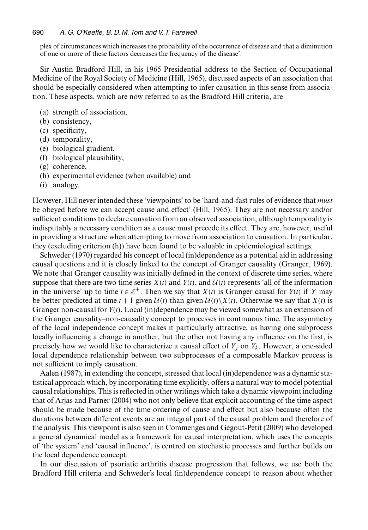plex of circumstances which increases the probability of the occurrence of disease and that a diminution of one or more of these factors decreases the frequency of the disease'.

Sir Austin Bradford Hill, in his 1965 Presidential address to the Section of Occupational Medicine of the Royal Society of Medicine (Hill, 1965), discussed aspects of an association that should be especially considered when attempting to infer causation in this sense from association. These aspects, which are now referred to as the Bradford Hill criteria, are

- (a) strength of association,
- (b) consistency,
- (c) specificity,
- (d) temporality,
- (e) biological gradient,
- (f) biological plausibility,
- (g) coherence,
- (h) experimental evidence (when available) and
- (i) analogy.

However, Hill never intended these 'viewpoints' to be 'hard-and-fast rules of evidence that *must* be obeyed before we can accept cause and effect' (Hill, 1965). They are not necessary and/or sufficient conditions to declare causation from an observed association, although temporality is indisputably a necessary condition as a cause must precede its effect. They are, however, useful in providing a structure when attempting to move from association to causation. In particular, they (excluding criterion (h)) have been found to be valuable in epidemiological settings.

Schweder (1970) regarded his concept of local (in)dependence as a potential aid in addressing causal questions and it is closely linked to the concept of Granger causality (Granger, 1969). We note that Granger causality was initially defined in the context of discrete time series, where suppose that there are two time series  $X(t)$  and  $Y(t)$ , and  $U(t)$  represents 'all of the information in the universe' up to time  $t \in \mathbb{Z}^+$ . Then we say that  $X(t)$  is Granger causal for  $Y(t)$  if *Y* may be better predicted at time  $t + 1$  given  $\mathcal{U}(t)$  than given  $\mathcal{U}(t)\setminus X(t)$ . Otherwise we say that  $X(t)$  is Granger non-causal for  $Y(t)$ . Local (in)dependence may be viewed somewhat as an extension of the Granger causality–non-causality concept to processes in continuous time. The asymmetry of the local independence concept makes it particularly attractive, as having one subprocess locally influencing a change in another, but the other not having any influence on the first, is precisely how we would like to characterize a causal effect of  $Y_i$  on  $Y_k$ . However, a one-sided local dependence relationship between two subprocesses of a composable Markov process is not sufficient to imply causation.

Aalen (1987), in extending the concept, stressed that local (in)dependence was a dynamic statistical approach which, by incorporating time explicitly, offers a natural way to model potential causal relationships. This is reflected in other writings which take a dynamic viewpoint including that of Arjas and Parner (2004) who not only believe that explicit accounting of the time aspect should be made because of the time ordering of cause and effect but also because often the durations between different events are an integral part of the causal problem and therefore of the analysis. This viewpoint is also seen in Commenges and Gégout-Petit (2009) who developed a general dynamical model as a framework for causal interpretation, which uses the concepts of 'the system' and 'causal influence', is centred on stochastic processes and further builds on the local dependence concept.

In our discussion of psoriatic arthritis disease progression that follows, we use both the Bradford Hill criteria and Schweder's local (in)dependence concept to reason about whether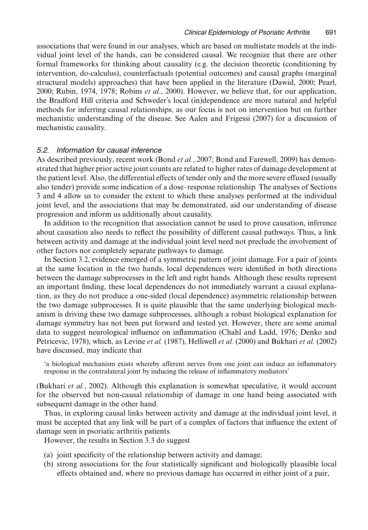associations that were found in our analyses, which are based on multistate models at the individual joint level of the hands, can be considered causal. We recognize that there are other formal frameworks for thinking about causality (e.g. the decision theoretic (conditioning by intervention, do-calculus), counterfactuals (potential outcomes) and causal graphs (marginal structural models) approaches) that have been applied in the literature (Dawid, 2000; Pearl, 2000; Rubin, 1974, 1978; Robins *et al.*, 2000). However, we believe that, for our application, the Bradford Hill criteria and Schweder's local (in)dependence are more natural and helpful methods for inferring causal relationships, as our focus is not on intervention but on further mechanistic understanding of the disease. See Aalen and Frigessi (2007) for a discussion of mechanistic causality.

## *5.2. Information for causal inference*

As described previously, recent work (Bond *et al.*, 2007; Bond and Farewell, 2009) has demonstrated that higher prior active joint counts are related to higher rates of damage development at the patient level. Also, the differential effects of tender only and the more severe effused (usually also tender) provide some indication of a dose–response relationship. The analyses of Sections 3 and 4 allow us to consider the extent to which these analyses performed at the individual joint level, and the associations that may be demonstrated, aid our understanding of disease progression and inform us additionally about causality.

In addition to the recognition that association cannot be used to prove causation, inference about causation also needs to reflect the possibility of different causal pathways. Thus, a link between activity and damage at the individual joint level need not preclude the involvement of other factors nor completely separate pathways to damage.

In Section 3.2, evidence emerged of a symmetric pattern of joint damage. For a pair of joints at the same location in the two hands, local dependences were identified in both directions between the damage subprocesses in the left and right hands. Although these results represent an important finding, these local dependences do not immediately warrant a causal explanation, as they do not produce a one-sided (local dependence) asymmetric relationship between the two damage subprocesses. It is quite plausible that the same underlying biological mechanism is driving these two damage subprocesses, although a robust biological explanation for damage symmetry has not been put forward and tested yet. However, there are some animal data to suggest neurological influence on inflammation (Chahl and Ladd, 1976; Denko and Petricevic, 1978), which, as Levine *et al.* (1987), Helliwell *et al.* (2000) and Bukhari *et al.* (2002) have discussed, may indicate that

'a biological mechanism exists whereby afferent nerves from one joint can induce an inflammatory response in the contralateral joint by inducing the release of inflammatory mediators'

(Bukhari *et al.*, 2002). Although this explanation is somewhat speculative, it would account for the observed but non-causal relationship of damage in one hand being associated with subsequent damage in the other hand.

Thus, in exploring causal links between activity and damage at the individual joint level, it must be accepted that any link will be part of a complex of factors that influence the extent of damage seen in psoriatic arthritis patients.

However, the results in Section 3.3 do suggest

- (a) joint specificity of the relationship between activity and damage;
- (b) strong associations for the four statistically significant and biologically plausible local effects obtained and, where no previous damage has occurred in either joint of a pair,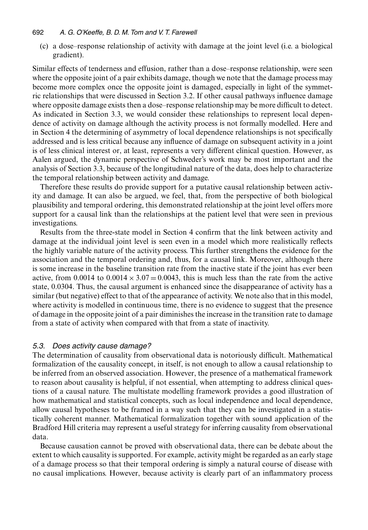#### 692 *A. G. O'Keeffe, B. D. M. Tom and V. T. Farewell*

(c) a dose–response relationship of activity with damage at the joint level (i.e. a biological gradient).

Similar effects of tenderness and effusion, rather than a dose–response relationship, were seen where the opposite joint of a pair exhibits damage, though we note that the damage process may become more complex once the opposite joint is damaged, especially in light of the symmetric relationships that were discussed in Section 3.2. If other causal pathways influence damage where opposite damage exists then a dose–response relationship may be more difficult to detect. As indicated in Section 3.3, we would consider these relationships to represent local dependence of activity on damage although the activity process is not formally modelled. Here and in Section 4 the determining of asymmetry of local dependence relationships is not specifically addressed and is less critical because any influence of damage on subsequent activity in a joint is of less clinical interest or, at least, represents a very different clinical question. However, as Aalen argued, the dynamic perspective of Schweder's work may be most important and the analysis of Section 3.3, because of the longitudinal nature of the data, does help to characterize the temporal relationship between activity and damage.

Therefore these results do provide support for a putative causal relationship between activity and damage. It can also be argued, we feel, that, from the perspective of both biological plausibility and temporal ordering, this demonstrated relationship at the joint level offers more support for a causal link than the relationships at the patient level that were seen in previous investigations.

Results from the three-state model in Section 4 confirm that the link between activity and damage at the individual joint level is seen even in a model which more realistically reflects the highly variable nature of the activity process. This further strengthens the evidence for the association and the temporal ordering and, thus, for a causal link. Moreover, although there is some increase in the baseline transition rate from the inactive state if the joint has ever been active, from 0.0014 to 0.0014  $\times$  3.07 = 0.0043, this is much less than the rate from the active state, 0.0304. Thus, the causal argument is enhanced since the disappearance of activity has a similar (but negative) effect to that of the appearance of activity. We note also that in this model, where activity is modelled in continuous time, there is no evidence to suggest that the presence of damage in the opposite joint of a pair diminishes the increase in the transition rate to damage from a state of activity when compared with that from a state of inactivity.

## *5.3. Does activity cause damage?*

The determination of causality from observational data is notoriously difficult. Mathematical formalization of the causality concept, in itself, is not enough to allow a causal relationship to be inferred from an observed association. However, the presence of a mathematical framework to reason about causality is helpful, if not essential, when attempting to address clinical questions of a causal nature. The multistate modelling framework provides a good illustration of how mathematical and statistical concepts, such as local independence and local dependence, allow causal hypotheses to be framed in a way such that they can be investigated in a statistically coherent manner. Mathematical formalization together with sound application of the Bradford Hill criteria may represent a useful strategy for inferring causality from observational data.

Because causation cannot be proved with observational data, there can be debate about the extent to which causality is supported. For example, activity might be regarded as an early stage of a damage process so that their temporal ordering is simply a natural course of disease with no causal implications. However, because activity is clearly part of an inflammatory process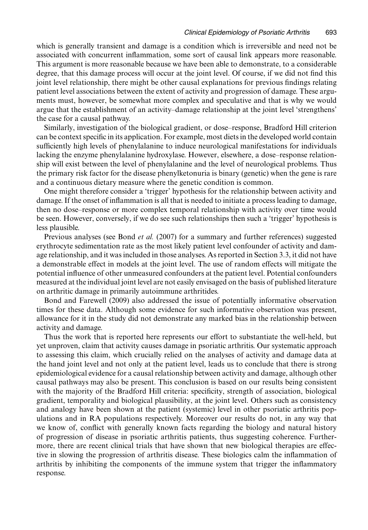which is generally transient and damage is a condition which is irreversible and need not be associated with concurrent inflammation, some sort of causal link appears more reasonable. This argument is more reasonable because we have been able to demonstrate, to a considerable degree, that this damage process will occur at the joint level. Of course, if we did not find this joint level relationship, there might be other causal explanations for previous findings relating patient level associations between the extent of activity and progression of damage. These arguments must, however, be somewhat more complex and speculative and that is why we would argue that the establishment of an activity–damage relationship at the joint level 'strengthens' the case for a causal pathway.

Similarly, investigation of the biological gradient, or dose–response, Bradford Hill criterion can be context specific in its application. For example, most diets in the developed world contain sufficiently high levels of phenylalanine to induce neurological manifestations for individuals lacking the enzyme phenylalanine hydroxylase. However, elsewhere, a dose–response relationship will exist between the level of phenylalanine and the level of neurological problems. Thus the primary risk factor for the disease phenylketonuria is binary (genetic) when the gene is rare and a continuous dietary measure where the genetic condition is common.

One might therefore consider a 'trigger' hypothesis for the relationship between activity and damage. If the onset of inflammation is all that is needed to initiate a process leading to damage, then no dose–response or more complex temporal relationship with activity over time would be seen. However, conversely, if we do see such relationships then such a 'trigger' hypothesis is less plausible.

Previous analyses (see Bond *et al.* (2007) for a summary and further references) suggested erythrocyte sedimentation rate as the most likely patient level confounder of activity and damage relationship, and it was included in those analyses. As reported in Section 3.3, it did not have a demonstrable effect in models at the joint level. The use of random effects will mitigate the potential influence of other unmeasured confounders at the patient level. Potential confounders measured at the individual joint level are not easily envisaged on the basis of published literature on arthritic damage in primarily autoimmune arthritides.

Bond and Farewell (2009) also addressed the issue of potentially informative observation times for these data. Although some evidence for such informative observation was present, allowance for it in the study did not demonstrate any marked bias in the relationship between activity and damage.

Thus the work that is reported here represents our effort to substantiate the well-held, but yet unproven, claim that activity causes damage in psoriatic arthritis. Our systematic approach to assessing this claim, which crucially relied on the analyses of activity and damage data at the hand joint level and not only at the patient level, leads us to conclude that there is strong epidemiological evidence for a causal relationship between activity and damage, although other causal pathways may also be present. This conclusion is based on our results being consistent with the majority of the Bradford Hill criteria: specificity, strength of association, biological gradient, temporality and biological plausibility, at the joint level. Others such as consistency and analogy have been shown at the patient (systemic) level in other psoriatic arthritis populations and in RA populations respectively. Moreover our results do not, in any way that we know of, conflict with generally known facts regarding the biology and natural history of progression of disease in psoriatic arthritis patients, thus suggesting coherence. Furthermore, there are recent clinical trials that have shown that new biological therapies are effective in slowing the progression of arthritis disease. These biologics calm the inflammation of arthritis by inhibiting the components of the immune system that trigger the inflammatory response.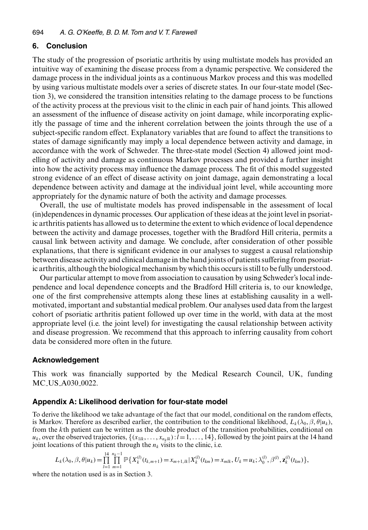## **6. Conclusion**

The study of the progression of psoriatic arthritis by using multistate models has provided an intuitive way of examining the disease process from a dynamic perspective. We considered the damage process in the individual joints as a continuous Markov process and this was modelled by using various multistate models over a series of discrete states. In our four-state model (Section 3), we considered the transition intensities relating to the damage process to be functions of the activity process at the previous visit to the clinic in each pair of hand joints. This allowed an assessment of the influence of disease activity on joint damage, while incorporating explicitly the passage of time and the inherent correlation between the joints through the use of a subject-specific random effect. Explanatory variables that are found to affect the transitions to states of damage significantly may imply a local dependence between activity and damage, in accordance with the work of Schweder. The three-state model (Section 4) allowed joint modelling of activity and damage as continuous Markov processes and provided a further insight into how the activity process may influence the damage process. The fit of this model suggested strong evidence of an effect of disease activity on joint damage, again demonstrating a local dependence between activity and damage at the individual joint level, while accounting more appropriately for the dynamic nature of both the activity and damage processes.

Overall, the use of multistate models has proved indispensable in the assessment of local (in)dependences in dynamic processes. Our application of these ideas at the joint level in psoriatic arthritis patients has allowed us to determine the extent to which evidence of local dependence between the activity and damage processes, together with the Bradford Hill criteria, permits a causal link between activity and damage. We conclude, after consideration of other possible explanations, that there is significant evidence in our analyses to suggest a causal relationship between disease activity and clinical damage in the hand joints of patients suffering from psoriatic arthritis, although the biological mechanism by which this occurs is still to be fully understood.

Our particular attempt to move from association to causation by using Schweder's local independence and local dependence concepts and the Bradford Hill criteria is, to our knowledge, one of the first comprehensive attempts along these lines at establishing causality in a wellmotivated, important and substantial medical problem. Our analyses used data from the largest cohort of psoriatic arthritis patient followed up over time in the world, with data at the most appropriate level (i.e. the joint level) for investigating the causal relationship between activity and disease progression. We recommend that this approach to inferring causality from cohort data be considered more often in the future.

## **Acknowledgement**

This work was financially supported by the Medical Research Council, UK, funding MC<sub>-US-A030-0022</sub>.

## **Appendix A: Likelihood derivation for four-state model**

To derive the likelihood we take advantage of the fact that our model, conditional on the random effects, is Markov. Therefore as described earlier, the contribution to the conditional likelihood,  $L_k(\lambda_0, \beta, \theta | u_k)$ , from the *k*th patient can be written as the double product of the transition probabilities, conditional on  $u_k$ , over the observed trajectories,  $\{(x_{1lk},...,x_{n_k lk}): l=1,..., 14\}$ , followed by the joint pairs at the 14 hand joint locations of this patient through the  $n_k$  visits to the clinic, i.e.

$$
L_k(\lambda_0, \beta, \theta | u_k) = \prod_{l=1}^{14} \prod_{m=1}^{n_k-1} \mathbb{P} \{ X_k^{(l)}(t_{k,m+1}) = x_{m+1,lk} | X_k^{(l)}(t_{km}) = x_{mlk}, U_k = u_k; \lambda_0^{(l)}, \beta^{(l)}, \mathbf{z}_k^{(l)}(t_{km}) \},
$$

where the notation used is as in Section 3.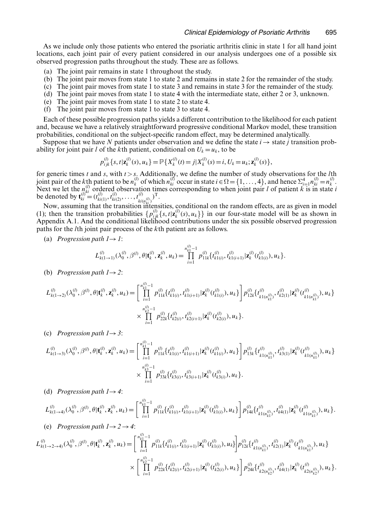As we include only those patients who entered the psoriatic arthritis clinic in state 1 for all hand joint locations, each joint pair of every patient considered in our analysis undergoes one of a possible six observed progression paths throughout the study. These are as follows.

- (a) The joint pair remains in state 1 throughout the study.
- (b) The joint pair moves from state 1 to state 2 and remains in state 2 for the remainder of the study.
- (c) The joint pair moves from state 1 to state 3 and remains in state 3 for the remainder of the study.
- (d) The joint pair moves from state 1 to state 4 with the intermediate state, either 2 or 3, unknown.
- (e) The joint pair moves from state 1 to state 2 to state 4.
- (f) The joint pair moves from state 1 to state 3 to state 4.

Each of these possible progression paths yields a different contribution to the likelihood for each patient and, because we have a relatively straightforward progressive conditional Markov model, these transition probabilities, conditional on the subject-specific random effect, may be determined analytically.

Suppose that we have *N* patients under observation and we define the state  $i \rightarrow$  state *j* transition probability for joint pair *l* of the *k*th patient, conditional on  $U_k = u_k$ , to be

$$
p_{ijk}^{(l)}\{s,t|\mathbf{z}_{k}^{(l)}(s),u_{k}\}=\mathbb{P}\{X_{k}^{(l)}(t)=j|X_{k}^{(l)}(s)=i,U_{k}=u_{k};\mathbf{z}_{k}^{(l)}(s)\},
$$

for generic times *t* and *s*, with  $t>s$ . Additionally, we define the number of study observations for the *l*th joint pair of the *k*th patient to be  $n_k^{(l)}$  of which  $n_k^{(l)}$  occur in state  $i \in \Omega = \{1, \ldots, 4\}$ , and hence  $\Sigma_{i=1}^4 n_k^{(l)} = n_k^{(l)}$ . Next we let the  $n_k^{(l)}$  ordered observation times corresponding to when joint pair *l* of patient *k* is in state *i* be denoted by  $\mathbf{t}_{ki}^{(l)} = (t_{ki(1)}^{(l)}, t_{ki(2)}^{(l)}, \dots, t_{ki(n_{ki}^{(l)})}^{(l)})^{\mathrm{T}}$ .

Now, assuming that the transition intensities, conditional on the random effects, are as given in model (1); then the transition probabilities  $\{p_{ijk}^{(l)}\{s,t|\mathbf{z}_k^{(l)}(s),u_k\}\}$  in our four-state model will be as shown in Appendix A.1. And the conditional likelihood contributions under the six possible observed progression paths for the *l*th joint pair process of the *k*th patient are as follows.

(a) *Progression path*  $1 \rightarrow 1$ :

$$
L_{k(1\to 1)}^{(l)}(\lambda_0^{(l)},\beta^{(l)},\theta|\mathbf{t}_k^{(l)},\mathbf{z}_k^{(l)},u_k)=\prod_{i=1}^{n_{k1}^{(l)}-1}p_{11k}^{(l)}\lbrace t_{k1(i)}^{(l)},t_{k1(i+1)}^{(l)}|\mathbf{z}_k^{(l)}(t_{k1(i)}^{(l)}),u_k\rbrace.
$$

(b) *Progression path*  $1 \rightarrow 2$ *:* 

$$
L_{k(1\rightarrow 2)}^{(l)}(\lambda_0^{(l)},\beta^{(l)},\theta|\mathbf{t}_k^{(l)},\mathbf{z}_k^{(l)},u_k) = \left[\prod_{i=1}^{n_{k1}^{(l)}-1} p_{11k}^{(l)}\{t_{k1(i)}^{(l)},t_{k1(i+1)}^{(l)}|\mathbf{z}_k^{(l)}(t_{k1(i)}^{(l)}),u_k\}\right] p_{12k}^{(l)}\{t_{k1(n_{k1}^{(l)}^{(l)})},t_{k2(1)}^{(l)}|\mathbf{z}_k^{(l)}(t_{k1(n_{k1}^{(l)}^{(l)}),u_k\}\right] \times \prod_{i=1}^{n_{k2}^{(l)}-1} p_{22k}^{(l)}\{t_{k2(i)}^{(l)},t_{k2(i+1)}^{(l)}|\mathbf{z}_k^{(l)}(t_{k2(i)}^{(l)}),u_k\}.
$$

(c) *Progression path*  $1 \rightarrow 3$ :

$$
L_{k(1\rightarrow 3)}^{(l)}(\lambda_0^{(l)}, \beta^{(l)}, \theta | \mathbf{t}_k^{(l)}, \mathbf{z}_k^{(l)}, u_k) = \left[ \prod_{i=1}^{n_{k1}^{(l)}-1} p_{11k}^{(l)} \{t_{k1(i)}^{(l)}, t_{k1(i+1)}^{(l)} | \mathbf{z}_k^{(l)}(t_{k1(i)}^{(l)}), u_k \} \right] p_{13k}^{(l)} \{t_{k1(n_{k1}^{(l)}^l)}, t_{k3(l)}^{(l)} | \mathbf{z}_k^{(l)}(t_{k1(n_{k1}^{(l)})}^{(l)}), u_k \} \times \prod_{i=1}^{n_{k3}^{(l)}-1} p_{33k}^{(l)} \{t_{k3(i)}^{(l)}, t_{k3(i+1)}^{(l)} | \mathbf{z}_k^{(l)}(t_{k3(i)}^{(l)}), u_k \}.
$$

(d) *Progression path*  $1 \rightarrow 4$ :

$$
L_{k(1\rightarrow 4)}^{(l)}(\lambda_0^{(l)}, \beta^{(l)}, \theta | \mathbf{t}_k^{(l)}, \mathbf{z}_k^{(l)}, u_k) = \left[ \prod_{i=1}^{n_{k(1)}^{(l)}-1} p_{11k}^{(l)} \{t_{k1(i)}^{(l)}, t_{k1(i+1)}^{(l)} | \mathbf{z}_k^{(l)}(t_{k1(i)}^{(l)}), u_k \} \right] p_{14k}^{(l)} \{t_{k1(n_{k1}^{(l)})}, t_{k4(1)}^{(l)} | \mathbf{z}_k^{(l)}(t_{k1(n_{k1}^{(l)})}^{(l)}), u_k \}.
$$
\n(e) *Propression path*  $l \rightarrow 2 \rightarrow 4$ :

$$
L_{k(1\rightarrow 2\rightarrow 4)}^{(l)}(\lambda_0^{(l)},\beta^{(l)},\theta|\mathbf{t}_k^{(l)},\mathbf{z}_k^{(l)},u_k) = \left[\prod_{i=1}^{n_{k1}^{(l)}-1} p_{11k}^{(l)} \{t_{k1(i)}^{(l)},t_{k1(i+1)}^{(l)}|\mathbf{z}_k^{(l)}(t_{k1(i)}^{(l)}),u_k\}\right] p_{12k}^{(l)} \{t_{k1(n_{k1}^{(l)})},t_{k2(1)}^{(l)}|\mathbf{z}_k^{(l)}(t_{k1(n_{k1}^{(l)})}^{(l)}),u_k\} \\ \times \left[\prod_{i=1}^{n_{k2}^{(l)}-1} p_{22k}^{(l)} \{t_{k2(i)}^{(l)},t_{k2(i+1)}^{(l)}|\mathbf{z}_k^{(l)}(t_{k2(i)}^{(l)}),u_k\}\right] p_{24k}^{(l)} \{t_{k2(n_{k2}^{(l)})}^{(l)},t_{k4(1)}^{(l)}|\mathbf{z}_k^{(l)}(t_{k2(n_{k2}^{(l)})}^{(l)},u_k\}.
$$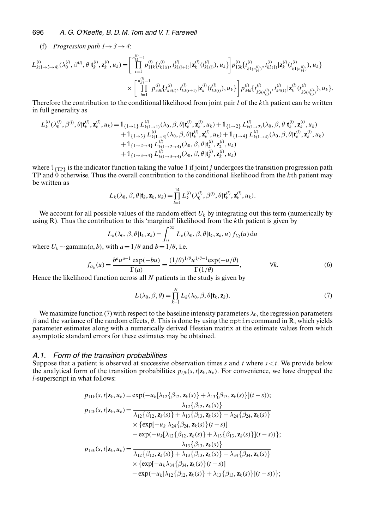## 696 *A. G. O'Keeffe, B. D. M. Tom and V. T. Farewell*

## (f) *Progression path*  $1 \rightarrow 3 \rightarrow 4$ *:*

$$
L_{k(1\rightarrow 3\rightarrow 4)}^{(l)}(\lambda_0^{(l)},\beta^{(l)},\theta|\mathbf{t}_k^{(l)},\mathbf{z}_k^{(l)},u_k) = \begin{bmatrix} \prod_{i=1}^{n_{k1}^{(l)}-1} p_{11k}^{(l)} \{t_{k1(i)}^{(l)},t_{k1(i+1)}^{(l)}|\mathbf{z}_k^{(l)}(t_{k1(i)}^{(l)}),u_k\} \\ \prod_{i=1}^{n_{k2}^{(l)}-1} p_{33k}^{(l)} \{t_{k3(i)}^{(l)},t_{k3(i+1)}^{(l)}|\mathbf{z}_k^{(l)}(t_{k3(i)}^{(l)}),u_k\} \end{bmatrix} p_{13k}^{(l)} \{t_{k1(n_{k1}^{(l)})}^{(l)},t_{k3(1)}^{(l)}|\mathbf{z}_k^{(l)}(t_{k1(n_{k1}^{(l)})}^{(l)}),u_k\} \\ \times \begin{bmatrix} \prod_{i=1}^{n_{k3}^{(l)}-1} p_{33k}^{(l)} \{t_{k3(i)}^{(l)},t_{k3(i+1)}^{(l)}|\mathbf{z}_k^{(l)}(t_{k3(i)}^{(l)}),u_k\} \\ \prod_{i=1}^{n_{k3}^{(l)}-1} p_{33k}^{(l)} \{t_{k3(i)}^{(l)},t_{k3(i+1)}^{(l)}|\mathbf{z}_k^{(l)}(t_{k3(i)}^{(l)}),u_k\} \end{bmatrix} p_{34k}^{(l)} \{t_{k3(n_{k3}^{(l)})}^{(l)},t_{k4(1)}^{(l)}|\mathbf{z}_k^{(l)}(t_{k3(n_{k3}^{(l)})}^{(l)}),u_k\}.
$$

Therefore the contribution to the conditional likelihood from joint pair *l* of the *k*th patient can be written in full generality as

$$
L_{k}^{(l)}(\lambda_{0}^{(l)},\beta^{(l)},\theta|\mathbf{t}_{k}^{(l)},\mathbf{z}_{k}^{(l)},u_{k}) = \mathbb{1}_{\{1\to 1\}} L_{k(1\to 1)}^{(l)}(\lambda_{0},\beta,\theta|\mathbf{t}_{k}^{(l)},\mathbf{z}_{k}^{(l)},u_{k}) + \mathbb{1}_{\{1\to 2\}} L_{k(1\to 2)}^{(l)}(\lambda_{0},\beta,\theta|\mathbf{t}_{k}^{(l)},\mathbf{z}_{k}^{(l)},u_{k}) + \mathbb{1}_{\{1\to 3\}} L_{k(1\to 3)}^{(l)}(\lambda_{0},\beta,\theta|\mathbf{t}_{k}^{(l)},\mathbf{z}_{k}^{(l)},u_{k}) + \mathbb{1}_{\{1\to 4\}} L_{k(1\to 4)}^{(l)}(\lambda_{0},\beta,\theta|\mathbf{t}_{k}^{(l)},\mathbf{z}_{k}^{(l)},u_{k}) + \mathbb{1}_{\{1\to 2\to 4\}} L_{k(1\to 2\to 4)}^{(l)}(\lambda_{0},\beta,\theta|\mathbf{t}_{k}^{(l)},\mathbf{z}_{k}^{(l)},u_{k}) + \mathbb{1}_{\{1\to 3\to 4\}} L_{k(1\to 3\to 4)}^{(l)}(\lambda_{0},\beta,\theta|\mathbf{t}_{k}^{(l)},\mathbf{z}_{k}^{(l)},u_{k})
$$

where  $\mathbb{1}_{TPI}$  is the indicator function taking the value 1 if joint *j* undergoes the transition progression path TP and 0 otherwise. Thus the overall contribution to the conditional likelihood from the *k*th patient may be written as

$$
L_k(\lambda_0, \beta, \theta | \mathbf{t}_k, \mathbf{z}_k, u_k) = \prod_{l=1}^{14} L_k^{(l)}(\lambda_0^{(l)}, \beta^{(l)}, \theta | \mathbf{t}_k^{(l)}, \mathbf{z}_k^{(l)}, u_k).
$$

We account for all possible values of the random effect  $U_k$  by integrating out this term (numerically by using R). Thus the contribution to this 'marginal' likelihood from the *k*th patient is given by

$$
L_k(\lambda_0, \beta, \theta | \mathbf{t}_k, \mathbf{z}_k) = \int_0^\infty L_k(\lambda_0, \beta, \theta | \mathbf{t}_k, \mathbf{z}_k, u) f_{U_k}(u) du
$$
  
with  $a = 1/4$  and  $b = 1/4$  is a

where  $U_k \sim \text{gamma}(a, b)$ , with  $a = 1/\theta$  and  $b = 1/\theta$ , i.e.

$$
f_{U_k}(u) = \frac{b^a u^{a-1} \exp(-bu)}{\Gamma(a)} = \frac{(1/\theta)^{1/\theta} u^{1/\theta - 1} \exp(-u/\theta)}{\Gamma(1/\theta)}, \qquad \forall k.
$$
 (6)

Hence the likelihood function across all *N* patients in the study is given by

$$
L(\lambda_0, \beta, \theta) = \prod_{k=1}^N L_k(\lambda_0, \beta, \theta | \mathbf{t}_k, \mathbf{z}_k).
$$
 (7)

We maximize function (7) with respect to the baseline intensity parameters  $\lambda_0$ , the regression parameters  $β$  and the variance of the random effects,  $θ$ . This is done by using the optim command in R, which yields parameter estimates along with a numerically derived Hessian matrix at the estimate values from which asymptotic standard errors for these estimates may be obtained.

#### *A.1. Form of the transition probabilities*

Suppose that a patient is observed at successive observation times *s* and *t* where  $s < t$ . We provide below the analytical form of the transition probabilities  $p_{ijk}(s, t|\mathbf{z}_k, u_k)$ . For convenience, we have dropped the *l*-superscript in what follows:

$$
p_{11k}(s, t | \mathbf{z}_{k}, u_{k}) = \exp(-u_{k}[\lambda_{12}\{\beta_{12}, \mathbf{z}_{k}(s)\} + \lambda_{13}\{\beta_{13}, \mathbf{z}_{k}(s)\}](t - s));
$$
\n
$$
p_{12k}(s, t | \mathbf{z}_{k}, u_{k}) = \frac{\lambda_{12}\{\beta_{12}, \mathbf{z}_{k}(s)\}}{\lambda_{12}\{\beta_{12}, \mathbf{z}_{k}(s)\} + \lambda_{13}\{\beta_{13}, \mathbf{z}_{k}(s)\} - \lambda_{24}\{\beta_{24}, \mathbf{z}_{k}(s)\}} \times \{\exp[-u_{k} \lambda_{24}\{\beta_{24}, \mathbf{z}_{k}(s)\} (t - s)] - \exp(-u_{k}[\lambda_{12}\{\beta_{12}, \mathbf{z}_{k}(s)\} + \lambda_{13}\{\beta_{13}, \mathbf{z}_{k}(s)\}](t - s));\}
$$
\n
$$
p_{13k}(s, t | \mathbf{z}_{k}, u_{k}) = \frac{\lambda_{13}\{\beta_{13}, \mathbf{z}_{k}(s)\}}{\lambda_{12}\{\beta_{12}, \mathbf{z}_{k}(s)\} + \lambda_{13}\{\beta_{13}, \mathbf{z}_{k}(s)\} - \lambda_{34}\{\beta_{34}, \mathbf{z}_{k}(s)\}} \times \{\exp[-u_{k}\lambda_{34}\{\beta_{34}, \mathbf{z}_{k}(s)\} (t - s)] - \exp(-u_{k}[\lambda_{12}\{\beta_{12}, \mathbf{z}_{k}(s)\} + \lambda_{13}\{\beta_{13}, \mathbf{z}_{k}(s)\}](t - s));\}
$$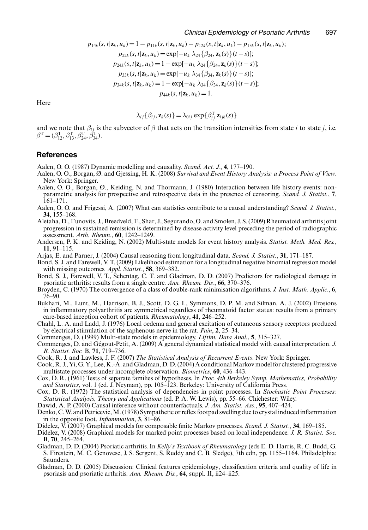$$
p_{14k}(s, t | \mathbf{z}_k, u_k) = 1 - p_{11k}(s, t | \mathbf{z}_k, u_k) - p_{12k}(s, t | \mathbf{z}_k, u_k) - p_{13k}(s, t | \mathbf{z}_k, u_k);
$$
  
\n
$$
p_{22k}(s, t | \mathbf{z}_k, u_k) = \exp[-u_k \lambda_{24} {\beta_{24}, \mathbf{z}_k(s)}(t - s)];
$$
  
\n
$$
p_{24k}(s, t | \mathbf{z}_k, u_k) = 1 - \exp[-u_k \lambda_{24} {\beta_{24}, \mathbf{z}_k(s)}(t - s)];
$$
  
\n
$$
p_{33k}(s, t | \mathbf{z}_k, u_k) = \exp[-u_k \lambda_{34} {\beta_{34}, \mathbf{z}_k(s)}(t - s)];
$$
  
\n
$$
p_{34k}(s, t | \mathbf{z}_k, u_k) = 1 - \exp[-u_k \lambda_{34} {\beta_{34}, \mathbf{z}_k(s)}(t - s)];
$$
  
\n
$$
p_{44k}(s, t | \mathbf{z}_k, u_k) = 1.
$$

Here

$$
\lambda_{ij}\{\beta_{ij},\mathbf{z}_k(s)\}=\lambda_{0ij}\exp{\{\beta_{ij}^{\mathrm{T}}\mathbf{z}_{ijk}(s)\}}
$$

and we note that  $\beta_i$  is the subvector of  $\beta$  that acts on the transition intensities from state *i* to state *j*, i.e.  $\beta^{\text{T}} = (\beta_{12}^{\text{T}}, \beta_{13}^{\text{T}}, \beta_{24}^{\text{T}}, \dot{\beta}_{34}^{\text{T}}).$ 

## **References**

- Aalen, O. O. (1987) Dynamic modelling and causality. *Scand. Act. J.*, **4**, 177–190.
- Aalen, O. O., Borgan, Ø. and Gjessing, H. K. (2008) *Survival and Event History Analysis: a Process Point of View*. New York: Springer.
- Aalen, O. O., Borgan, Ø., Keiding, N. and Thormann, J. (1980) Interaction between life history events: nonparametric analysis for prospective and retrospective data in the presence of censoring. *Scand. J. Statist.*, **7**, 161–171.
- Aalen, O. O. and Frigessi, A. (2007) What can statistics contribute to a causal understanding? *Scand. J. Statist.*, **34**, 155–168.
- Aletaha, D., Funovits, J., Breedveld, F., Shar, J., Segurando, O. and Smolen, J. S. (2009) Rheumatoid arthritis joint progression in sustained remission is determined by disease activity level preceding the period of radiographic assessment. *Arth. Rheum.*, **60**, 1242–1249.
- Andersen, P. K. and Keiding, N. (2002) Multi-state models for event history analysis. *Statist. Meth. Med. Res.*, **11**, 91–115.
- Arjas, E. and Parner, J. (2004) Causal reasoning from longitudinal data. *Scand. J. Statist.*, **31**, 171–187.
- Bond, S. J. and Farewell, V. T. (2009) Likelihood estimation for a longitudinal negative binomial regression model with missing outcomes. *Appl. Statist.*, **58**, 369–382.
- Bond, S. J., Farewell, V. T., Schentag, C. T. and Gladman, D. D. (2007) Predictors for radiological damage in psoriatic arthritis: results from a single centre. *Ann. Rheum. Dis.*, **66**, 370–376.
- Broyden, C. (1970) The convergence of a class of double-rank minimisation algorithms. *J. Inst. Math. Applic.*, **6**, 76–90.
- Bukhari, M., Lunt, M., Harrison, B. J., Scott, D. G. I., Symmons, D. P. M. and Silman, A. J. (2002) Erosions in inflammatory polyarthritis are symmetrical regardless of rheumatoid factor status: results from a primary care-based inception cohort of patients. *Rheumatology*, **41**, 246–252.
- Chahl, L. A. and Ladd, J. (1976) Local oedema and general excitation of cutaneous sensory receptors produced by electrical stimulation of the saphenous nerve in the rat. *Pain*, **2**, 25–34.
- Commenges, D. (1999) Multi-state models in epidemiology. *Liftim. Data Anal.*, **5**, 315–327.
- Commenges, D. and Gégout-Petit, A. (2009) A general dynamical statistical model with causal interpretation. *J. R. Statist. Soc.* B, **71**, 719–736.
- Cook, R. J. and Lawless, J. F. (2007) *The Statistical Analysis of Recurrent Events*. New York: Springer.
- Cook, R. J., Yi, G. Y., Lee, K.-A. and Gladman, D. D. (2004) A conditional Markov model for clustered progressive multistate processes under incomplete observation. *Biometrics*, **60**, 436–443.
- Cox, D. R. (1961) Tests of separate families of hypotheses. In *Proc. 4th Berkeley Symp. Mathematics, Probability and Statistics*, vol. 1 (ed. J. Neyman), pp. 105–123. Berkeley: University of California Press.
- Cox, D. R. (1972) The statistical analysis of dependencies in point processes. In *Stochastic Point Processes: Statistical Analysis, Theory and Applications* (ed. P. A. W. Lewis), pp. 55–66. Chichester: Wiley.
- Dawid, A. P. (2000) Causal inference without counterfactuals. *J. Am. Statist. Ass.*, **95**, 407–424.
- Denko, C.W. and Petricevic,M. (1978) Sympathetic or reflex footpad swelling due to crystal induced inflammation in the opposite foot. *Inflammation*, **3**, 81–86.
- Didelez, V. (2007) Graphical models for composable finite Markov processes. *Scand. J. Statist.*, **34**, 169–185.
- Didelez, V. (2008) Graphical models for marked point processes based on local independence. *J. R. Statist. Soc.* B, **70**, 245–264.
- Gladman, D. D. (2004) Psoriatic arthritis. In *Kelly's Textbook of Rheumatology* (eds E. D. Harris, R. C. Budd, G. S. Firestein, M. C. Genovese, J. S. Sergent, S. Ruddy and C. B. Sledge), 7th edn, pp. 1155–1164. Philadelphia: Saunders.
- Gladman, D. D. (2005) Discussion: Clinical features epidemiology, classification criteria and quality of life in psoriasis and psoriatic arthritis. *Ann. Rheum. Dis.*, **64**, suppl. II, ii24–ii25.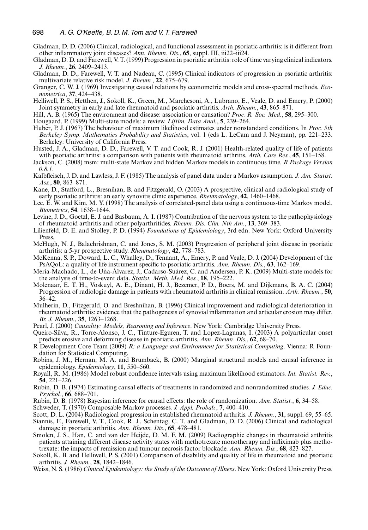- Gladman, D. D. (2006) Clinical, radiological, and functional assessment in psoriatic arthritis: is it different from other inflammatory joint diseases? *Ann. Rheum. Dis.*, **65**, suppl. III, iii22–iii24.
- Gladman, D. D. and Farewell, V. T. (1999) Progression in psoriatic arthritis: role of time varying clinical indicators. *J. Rheum.*, **26**, 2409–2413.
- Gladman, D. D., Farewell, V. T. and Nadeau, C. (1995) Clinical indicators of progression in psoriatic arthritis: multivariate relative risk model. *J. Rheum.*, **22**, 675–679.
- Granger, C. W. J. (1969) Investigating causal relations by econometric models and cross-spectral methods. *Econometrica*, **37**, 424–438.
- Helliwell, P. S., Hetthen, J., Sokoll, K., Green, M., Marchesoni, A., Lubrano, E., Veale, D. and Emery, P. (2000) Joint symmetry in early and late rheumatoid and psoriatic arthritis. *Arth. Rheum.*, **43**, 865–871.
- Hill, A. B. (1965) The environment and disease: association or causation? *Proc. R. Soc. Med.*, **58**, 295–300.
- Hougaard, P. (1999) Multi-state models: a review. *Liftim. Data Anal.*, **5**, 239–264.
- Huber, P. J. (1967) The behaviour of maximum likelihood estimates under nonstandard conditions. In *Proc. 5th Berkeley Symp. Mathematics Probability and Statistics*, vol. 1 (eds L. LeCam and J. Neyman), pp. 221–233. Berkeley: University of California Press.
- Husted, J. A., Gladman, D. D., Farewell, V. T. and Cook, R. J. (2001) Health-related quality of life of patients with psoriatic arthritis: a comparison with patients with rheumatoid arthritis. *Arth. Care Res.*, **45**, 151–158.
- Jackson, C. (2008) msm: multi-state Markov and hidden Markov models in continuous time. *R Package Version 0.8.1*.
- Kalbfleisch, J. D. and Lawless, J. F. (1985) The analysis of panel data under a Markov assumption. *J. Am. Statist. Ass.*, **80**, 863–871.
- Kane, D., Stafford, L., Bresnihan, B. and Fitzgerald, O. (2003) A prospective, clinical and radiological study of early psoriatic arthritis: an early synovitis clinic experience. *Rheumatology*, **42**, 1460–1468.
- Lee, E. W. and Kim, M. Y. (1998) The analysis of correlated-panel data using a continuous-time Markov model. *Biometrics*, **54**, 1638–1644.
- Levine, J. D., Goetzl, E. J. and Basbaum, A. I. (1987) Contribution of the nervous system to the pathophysiology of rheumatoid arthritis and other polyarthritides. *Rheum. Dis. Clin. Nth Am.*, **13**, 369–383.
- Lilienfeld, D. E. and Stolley, P. D. (1994) *Foundations of Epidemiology*, 3rd edn. New York: Oxford University Press.
- McHugh, N. J., Balachrishnan, C. and Jones, S. M. (2003) Progression of peripheral joint disease in psoriatic arthritis: a 5-yr prospective study. *Rheumatology*, **42**, 778–783.
- McKenna, S. P., Doward, L. C., Whalley, D., Tennant, A., Emery, P. and Veale, D. J. (2004) Development of the PsAQoL: a quality of life instrument specific to psoriatic arthritis. *Ann. Rheum. Dis.*, **63**, 162–169.
- Meria-Machado, L., de Uña-Álvarez, J., Cadarso-Suárez, C. and Andersen, P. K. (2009) Multi-state models for the analysis of time-to-event data. *Statist. Meth. Med. Res.*, **18**, 195–222.
- Molenaar, E. T. H., Voskuyl, A. E., Dinant, H. J., Bezemer, P. D., Boers, M. and Dijkmans, B. A. C. (2004) Progression of radiologic damage in patients with rheumatoid arthritis in clinical remission. *Arth. Rheum.*, **50**, 36–42.
- Mulherin, D., Fitzgerald, O. and Breshnihan, B. (1996) Clinical improvement and radiological deterioration in rheumatoid arthritis: evidence that the pathogenesis of synovial inflammation and articular erosion may differ. *Br. J. Rheum.*, **35**, 1263–1268.
- Pearl, J. (2000) *Causality: Models, Reasoning and Inference*. New York: Cambridge University Press.
- Queiro-Silva, R., Torre-Alonso, J. C., Tinture-Eguren, T. and Lopez-Lagunas, I. (2003) A polyarticular onset predicts erosive and deforming disease in psoriatic arthritis. *Ann. Rheum. Dis.*, **62**, 68–70.
- R Development Core Team (2009) *R: a Language and Environment for Statistical Computing*. Vienna: R Foundation for Statistical Computing.
- Robins, J. M., Hernan, M. A. and Brumback, B. (2000) Marginal structural models and causal inference in epidemiology. *Epidemiology*, **11**, 550–560.
- Royall, R. M. (1986) Model robust confidence intervals using maximum likelihood estimators. *Int. Statist. Rev.*, **54**, 221–226.
- Rubin, D. B. (1974) Estimating causal effects of treatments in randomized and nonrandomized studies. *J. Educ. Psychol.*, **66**, 688–701.
- Rubin, D. B. (1978) Bayesian inference for causal effects: the role of randomization. *Ann. Statist.*, **6**, 34–58.
- Schweder, T. (1970) Composable Markov processes. *J. Appl. Probab.*, **7**, 400–410.
- Scott, D. L. (2004) Radiological progression in established rheumatoid arthritis. *J. Rheum.*, **31**, suppl. 69, 55–65.
- Siannis, F., Farewell, V. T., Cook, R. J., Schentag, C. T. and Gladman, D. D. (2006) Clinical and radiological damage in psoriatic arthritis. *Ann. Rheum. Dis.*, **65**, 478–481.
- Smolen, J. S., Han, C. and van der Heijde, D. M. F. M. (2009) Radiographic changes in rheumatoid arthritis patients attaining different disease activity states with methotrexate monotherapy and infliximab plus methotrexate: the impacts of remission and tumour necrosis factor blockade. *Ann. Rheum. Dis.*, **68**, 823–827.
- Sokoll, K. B. and Helliwell, P. S. (2001) Comparison of disability and quality of life in rheumatoid and psoriatic arthritis. *J. Rheum.*, **28**, 1842–1846.
- Weiss, N. S. (1986) *Clinical Epidemiology: the Study of the Outcome of Illness*. New York: Oxford University Press.